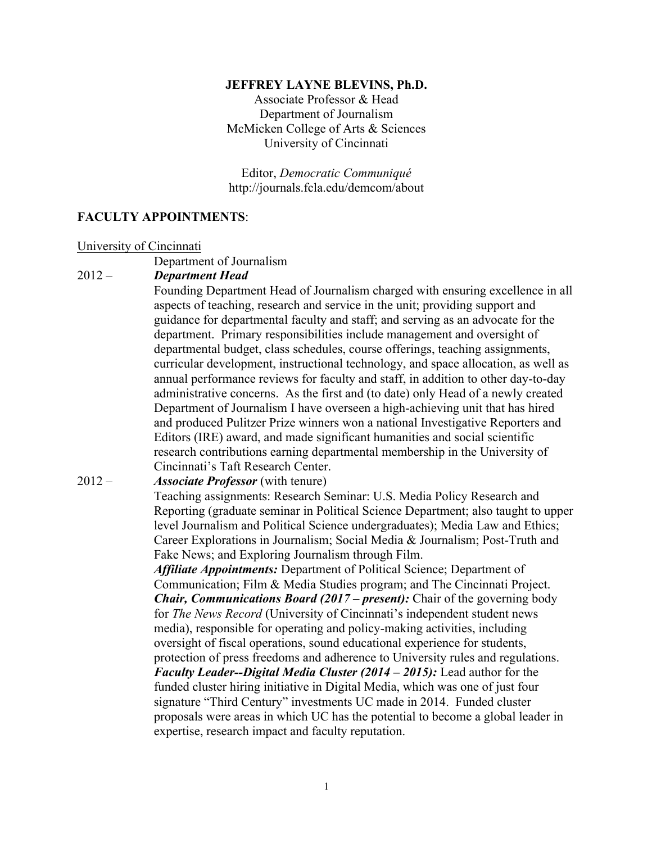#### **JEFFREY LAYNE BLEVINS, Ph.D.**

 Associate Professor & Head Department of Journalism McMicken College of Arts & Sciences University of Cincinnati

Editor, *Democratic Communiqué*  <http://journals.fcla.edu/demcom/about>

### **FACULTY APPOINTMENTS**:

#### University of Cincinnati

Department of Journalism

#### $2012 -$ **Department Head**

 administrative concerns. As the first and (to date) only Head of a newly created research contributions earning departmental membership in the University of Cincinnati's Taft Research Center. Founding Department Head of Journalism charged with ensuring excellence in all aspects of teaching, research and service in the unit; providing support and guidance for departmental faculty and staff; and serving as an advocate for the department. Primary responsibilities include management and oversight of departmental budget, class schedules, course offerings, teaching assignments, curricular development, instructional technology, and space allocation, as well as annual performance reviews for faculty and staff, in addition to other day-to-day Department of Journalism I have overseen a high-achieving unit that has hired and produced Pulitzer Prize winners won a national Investigative Reporters and Editors (IRE) award, and made significant humanities and social scientific

#### $2012 -$ *Associate Professor* (with tenure)

 Reporting (graduate seminar in Political Science Department; also taught to upper Fake News; and Exploring Journalism through Film. Teaching assignments: Research Seminar: U.S. Media Policy Research and level Journalism and Political Science undergraduates); Media Law and Ethics; Career Explorations in Journalism; Social Media & Journalism; Post-Truth and

 Communication; Film & Media Studies program; and The Cincinnati Project. *Chair, Communications Board (2017 – present):* Chair of the governing body  *Faculty Leader--Digital Media Cluster (2014 – 2015):* Lead author for the *Affiliate Appointments:* Department of Political Science; Department of for *The News Record* (University of Cincinnati's independent student news media), responsible for operating and policy-making activities, including oversight of fiscal operations, sound educational experience for students, protection of press freedoms and adherence to University rules and regulations. funded cluster hiring initiative in Digital Media, which was one of just four signature "Third Century" investments UC made in 2014. Funded cluster proposals were areas in which UC has the potential to become a global leader in expertise, research impact and faculty reputation.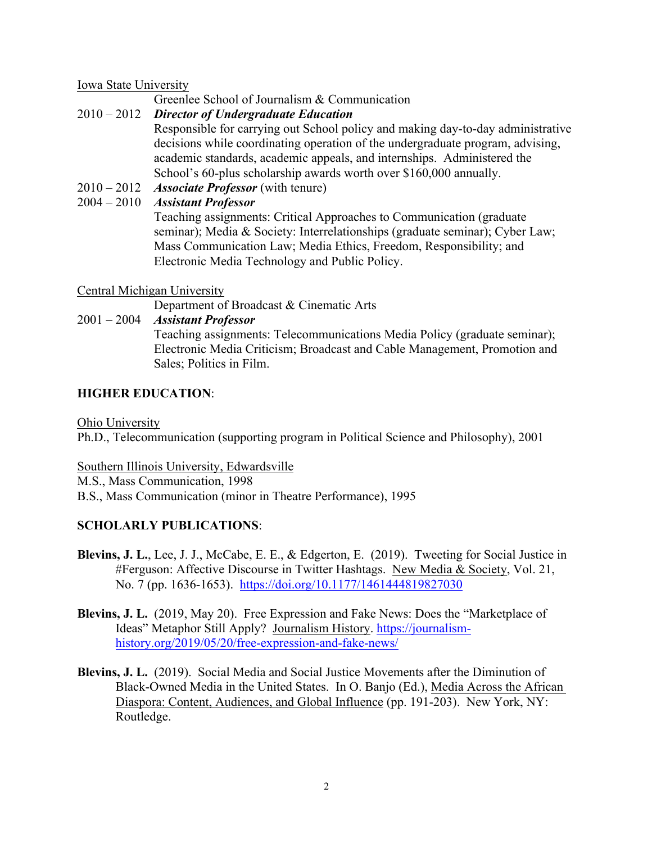Iowa State University

Greenlee School of Journalism & Communication

# 2010 – 2012 *Director of Undergraduate Education*

 academic standards, academic appeals, and internships. Administered the School's 60-plus scholarship awards worth over \$160,000 annually. Responsible for carrying out School policy and making day-to-day administrative decisions while coordinating operation of the undergraduate program, advising,

2010 – 2012 *Associate Professor* (with tenure)

# 2004 – 2010 *Assistant Professor*

Teaching assignments: Critical Approaches to Communication (graduate seminar); Media & Society: Interrelationships (graduate seminar); Cyber Law; Mass Communication Law; Media Ethics, Freedom, Responsibility; and Electronic Media Technology and Public Policy.

# Central Michigan University

Department of Broadcast & Cinematic Arts

# 2001 – 2004 *Assistant Professor*

 Sales; Politics in Film. Teaching assignments: Telecommunications Media Policy (graduate seminar); Electronic Media Criticism; Broadcast and Cable Management, Promotion and

# **HIGHER EDUCATION**:

Ohio University

Ph.D., Telecommunication (supporting program in Political Science and Philosophy), 2001

 Southern Illinois University, Edwardsville M.S., Mass Communication, 1998 B.S., Mass Communication (minor in Theatre Performance), 1995

# **SCHOLARLY PUBLICATIONS**:

- No. 7 (pp. 1636-1653). https://doi.org/10.1177/1461444819827030 **Blevins, J. L.**, Lee, J. J., McCabe, E. E., & Edgerton, E. (2019). Tweeting for Social Justice in #Ferguson: Affective Discourse in Twitter Hashtags. New Media & Society, Vol. 21,
- **Blevins, J. L.** (2019, May 20). Free Expression and Fake News: Does the "Marketplace of Ideas" Metaphor Still Apply? Journalism History. <https://journalism>[history.org/2019/05/20/free-expression-and-fake-news/](https://history.org/2019/05/20/free-expression-and-fake-news)
- **Blevins, J. L.** (2019). Social Media and Social Justice Movements after the Diminution of Black-Owned Media in the United States. In O. Banjo (Ed.), Media Across the African Diaspora: Content, Audiences, and Global Influence (pp. 191-203). New York, NY: Routledge.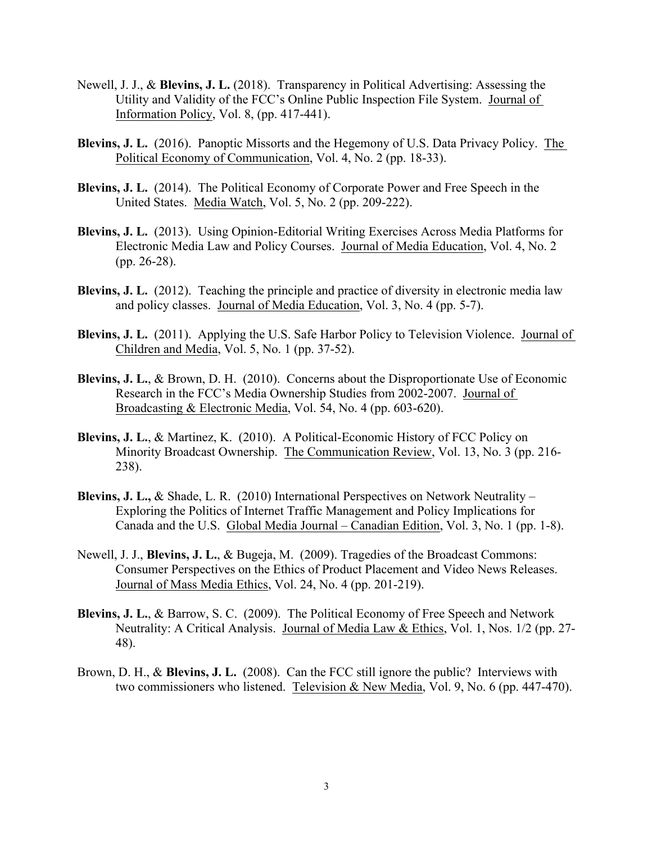- Newell, J. J., & **Blevins, J. L.** (2018). Transparency in Political Advertising: Assessing the Utility and Validity of the FCC's Online Public Inspection File System. Journal of Information Policy, Vol. 8, (pp. 417-441).
- **Blevins, J. L.** (2016). Panoptic Missorts and the Hegemony of U.S. Data Privacy Policy. The Political Economy of Communication, Vol. 4, No. 2 (pp. 18-33).
- **Blevins, J. L.** (2014). The Political Economy of Corporate Power and Free Speech in the United States. Media Watch, Vol. 5, No. 2 (pp. 209-222).
- **Blevins, J. L.** (2013). Using Opinion-Editorial Writing Exercises Across Media Platforms for Electronic Media Law and Policy Courses. Journal of Media Education, Vol. 4, No. 2 (pp. 26-28).
- **Blevins, J. L.** (2012). Teaching the principle and practice of diversity in electronic media law and policy classes. Journal of Media Education, Vol. 3, No. 4 (pp. 5-7).
- **Blevins, J. L.** (2011). Applying the U.S. Safe Harbor Policy to Television Violence. Journal of Children and Media, Vol. 5, No. 1 (pp. 37-52).
- Blevins, J. L., & Brown, D. H. (2010). Concerns about the Disproportionate Use of Economic Research in the FCC's Media Ownership Studies from 2002-2007. Journal of Broadcasting & Electronic Media, Vol. 54, No. 4 (pp. 603-6 Research in the FCC's Media Ownership Studies from 2002-2007. Journal of
- **Blevins, J. L.**, & Martinez, K. (2010). A Political-Economic History of FCC Policy on Minority Broadcast Ownership. The Communication Review, Vol. 13, No. 3 (pp. 216- 238).
- **Blevins, J. L.,** & Shade, L. R. (2010) International Perspectives on Network Neutrality Exploring the Politics of Internet Traffic Management and Policy Implications for Canada and the U.S. Global Media Journal – Canadian Edition, Vol. 3, No. 1 (pp. 1-8).
- Newell, J. J., Blevins, J. L., & Bugeja, M. (2009). Tragedies of the Broadcast Commons:<br>Consumer Perspectives on the Ethics of Product Placement and Video News Releases.<br>Journal of Mass Media Ethics, Vol. 24, No. 4 (pp. 20 Consumer Perspectives on the Ethics of Product Placement and Video News Releases.
- **Blevins, J. L.**, & Barrow, S. C. (2009). The Political Economy of Free Speech and Network Neutrality: A Critical Analysis. Journal of Media Law & Ethics, Vol. 1, Nos. 1/2 (pp. 27- 48).
- Brown, D. H., & **Blevins, J. L.** (2008). Can the FCC still ignore the public? Interviews with two commissioners who listened. Television & New Media, Vol. 9, No. 6 (pp. 447-470).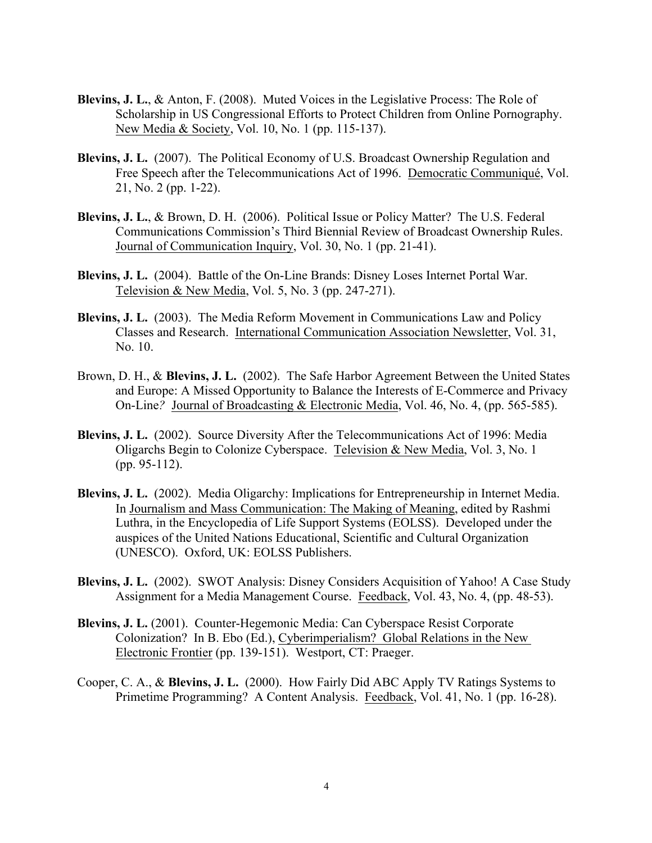- **Blevins, J. L.**, & Anton, F. (2008). Muted Voices in the Legislative Process: The Role of Scholarship in US Congressional Efforts to Protect Children from Online Pornography. New Media & Society, Vol. 10, No. 1 (pp. 115-137).
- **Blevins, J. L.** (2007). The Political Economy of U.S. Broadcast Ownership Regulation and Free Speech after the Telecommunications Act of 1996. Democratic Communiqué, Vol. 21, No. 2 (pp. 1-22).
- Blevins, J. L., & Brown, D. H. (2006). Political Issue or Policy Matter? The U.S. Federal Communications Commission's Third Biennial Review of Broadcast Ownership Rules. Journal of Communication Inquiry, Vol. 30, No. 1 (pp. 21-41).
- **Blevins, J. L.** (2004). Battle of the On-Line Brands: Disney Loses Internet Portal War. Television & New Media, Vol. 5, No. 3 (pp. 247-271).
- **Blevins, J. L.** (2003). The Media Reform Movement in Communications Law and Policy Classes and Research. International Communication Association Newsletter, Vol. 31, No. 10.
- Brown, D. H., & **Blevins, J. L.** (2002). The Safe Harbor Agreement Between the United States On-Line*?* Journal of Broadcasting & Electronic Media, Vol. 46, No. 4, (pp. 565-585). and Europe: A Missed Opportunity to Balance the Interests of E-Commerce and Privacy
- **Blevins, J. L.** (2002). Source Diversity After the Telecommunications Act of 1996: Media Oligarchs Begin to Colonize Cyberspace. Television & New Media, Vol. 3, No. 1 (pp. 95-112).
- **Blevins, J. L.** (2002). Media Oligarchy: Implications for Entrepreneurship in Internet Media. In Journalism and Mass Communication: The Making of Meaning, edited by Rashmi In Journalism and Mass Communication: The Making of Meaning, edited by Rashmi<br>Luthra, in the Encyclopedia of Life Support Systems (EOLSS). Developed under the<br>auspices of the United Nations Educational, Scientific and Cult (UNESCO). Oxford, UK: EOLSS Publishers.
- **Blevins, J. L.** (2002). SWOT Analysis: Disney Considers Acquisition of Yahoo! A Case Study Assignment for a Media Management Course. Feedback, Vol. 43, No. 4, (pp. 48-53).
- Blevins, J. L. (2001). Counter-Hegemonic Media: Can Cyberspace Resist Corporate **Blevins, J. L.** (2001). Counter-Hegemonic Media: Can Cyberspace Resist Corporate Colonization? In B. Ebo (Ed.), Cyberimperialism? Global Relations in the New Electronic Frontier (pp. 139-151). Westport, CT: Praeger.
- Cooper, C. A., & **Blevins, J. L.** (2000). How Fairly Did ABC Apply TV Ratings Systems to Primetime Programming? A Content Analysis. Feedback, Vol. 41, No. 1 (pp. 16-28).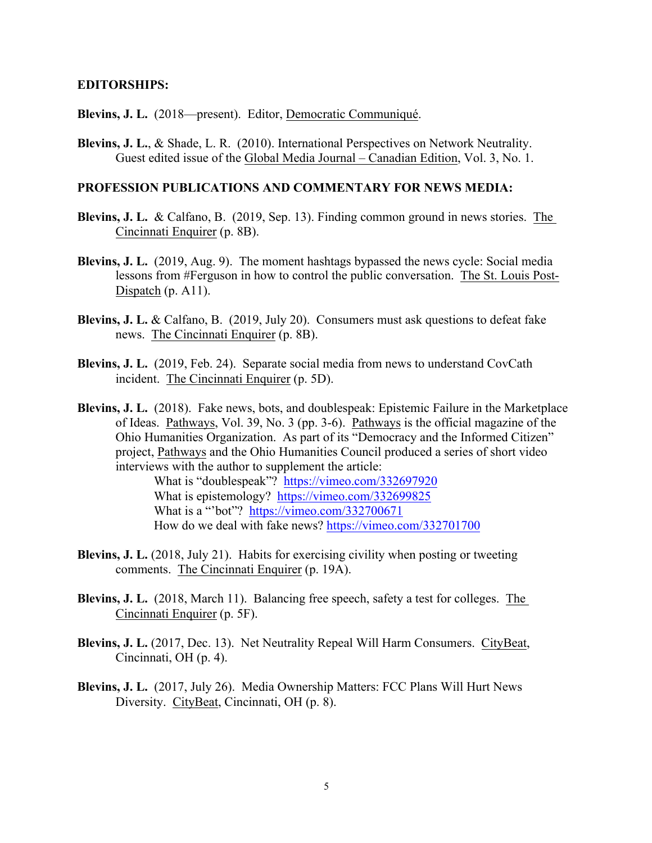#### **EDITORSHIPS:**

**Blevins, J. L.** (2018—present). Editor, Democratic Communiqué.

Guest edited issue of the Global Media Journal – Canadian Edition, Vol. 3, No. 1. **Blevins, J. L.**, & Shade, L. R. (2010). International Perspectives on Network Neutrality.

## **PROFESSION PUBLICATIONS AND COMMENTARY FOR NEWS MEDIA:**

- **Blevins, J. L.** & Calfano, B. (2019, Sep. 13). Finding common ground in news stories. The Cincinnati Enquirer (p. 8B). Cincinnati Enquirer (p. 8B).
- Blevins, J. L. (2019, Aug. 9). The moment hashtags bypassed the news cycle: Social media Dispatch  $(p. A11)$ . lessons from #Ferguson in how to control the public conversation. The St. Louis Post-
- **Blevins, J. L.** & Calfano, B. (2019, July 20). Consumers must ask questions to defeat fake news. The Cincinnati Enquirer (p. 8B). news. The Cincinnati Enquirer (p. 8B).
- incident. The Cincinnati Enquirer (p. 5D). **Blevins, J. L.** (2019, Feb. 24). Separate social media from news to understand CovCath
- Blevins, J. L. (2018). Fake news, bots, and doublespeak: Epistemic Failure in the Marketplace Ohio Humanities Organization. As part of its "Democracy and the Informed Citizen" of Ideas. Pathways, Vol. 39, No. 3 (pp. 3-6). <u>Pathways</u> is the official magazine of the project, Pathways and the Ohio Humanities Council produced a series of short video interviews with the author to supplement the article:

What is "doublespeak"? https://vimeo.com/332697920 What is epistemology? https://vimeo.com/332699825 What is a "bot"? <https://vimeo.com/332700671> How do we deal with fake news? <https://vimeo.com/332701700>

- comments. The Cincinnati Enquirer (p. 19A). **Blevins, J. L.** (2018, July 21). Habits for exercising civility when posting or tweeting
- **Blevins, J. L.** (2018, March 11). Balancing free speech, safety a test for colleges. The Cincinnati Enquirer (p. 5F).
- **Blevins, J. L.** (2017, Dec. 13). Net Neutrality Repeal Will Harm Consumers. CityBeat, Cincinnati, OH (p. 4).
- **Blevins, J. L.** (2017, July 26). Media Ownership Matters: FCC Plans Will Hurt News Diversity. CityBeat, Cincinnati, OH (p. 8).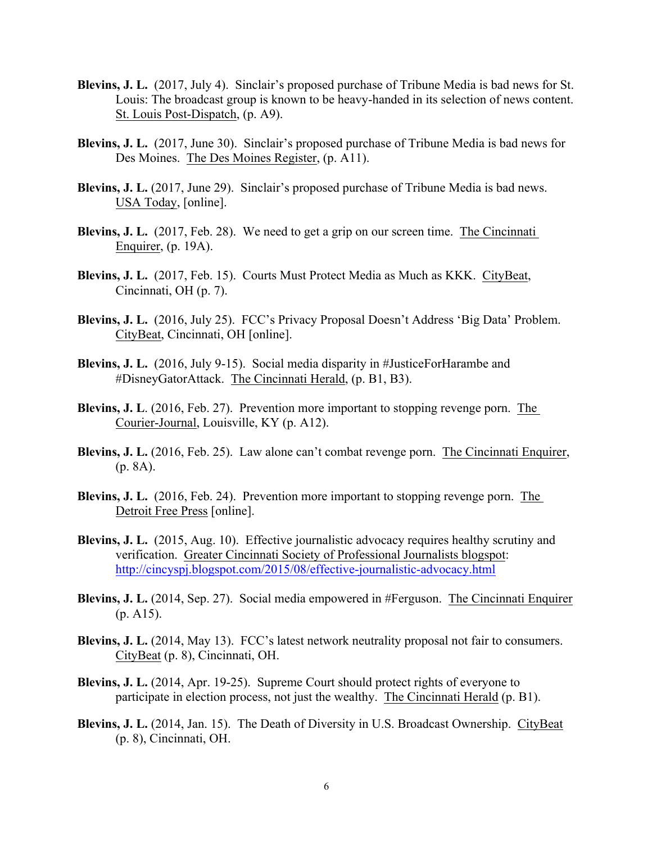- **Blevins, J. L.** (2017, July 4). Sinclair's proposed purchase of Tribune Media is bad news for St. Louis: The broadcast group is known to be heavy-handed in its selection of news content. St. Louis Post-Dispatch, (p. A9).
- **Blevins, J. L.** (2017, June 30). Sinclair's proposed purchase of Tribune Media is bad news for Des Moines. The Des Moines Register, (p. A11).
- **Blevins, J. L.** (2017, June 29). Sinclair's proposed purchase of Tribune Media is bad news. USA Today, [online].
- **Blevins, J. L.** (2017, Feb. 28). We need to get a grip on our screen time. <u>The Cincinnati Enquirer</u>, (p. 19A).
- **Blevins, J. L.** (2017, Feb. 15). Courts Must Protect Media as Much as KKK. CityBeat, Cincinnati, OH (p. 7).
- **Blevins, J. L.** (2016, July 25). FCC's Privacy Proposal Doesn't Address 'Big Data' Problem. CityBeat, Cincinnati, OH [online].
- **Blevins, J. L.** (2016, July 9-15). Social media disparity in #JusticeForHarambe and #DisneyGatorAttack. The Cincinnati Herald, (p. B1, B3).
- **Blevins, J. L**. (2016, Feb. 27). Prevention more important to stopping revenge porn. The Courier-Journal, Louisville, KY (p. A12).
- Blevins, J. L. (2016, Feb. 25). Law alone can't combat revenge porn. The Cincinnati Enquirer, (p. 8A).
- Blevins, J. L. (2016, Feb. 24). Prevention more important to stopping revenge porn. The Detroit Free Press [online].
- **Blevins, J. L.** (2015, Aug. 10). Effective journalistic advocacy requires healthy scrutiny and verification. Greater Cincinnati Society of Professional Journalists blogspot: <http://cincyspj.blogspot.com/2015/08/effective-journalistic-advocacy.html>
- **Blevins, J. L.** (2014, Sep. 27). Social media empowered in #Ferguson. <u>The Cincinnati Enquirer</u> (p. A15).
- **Blevins, J. L.** (2014, May 13). FCC's latest network neutrality proposal not fair to consumers. CityBeat (p. 8), Cincinnati, OH.
- participate in election process, not just the wealthy. The Cincinnati Herald (p. B1). **Blevins, J. L.** (2014, Apr. 19-25). Supreme Court should protect rights of everyone to
- **Blevins, J. L.** (2014, Jan. 15). The Death of Diversity in U.S. Broadcast Ownership. CityBeat (p. 8), Cincinnati, OH.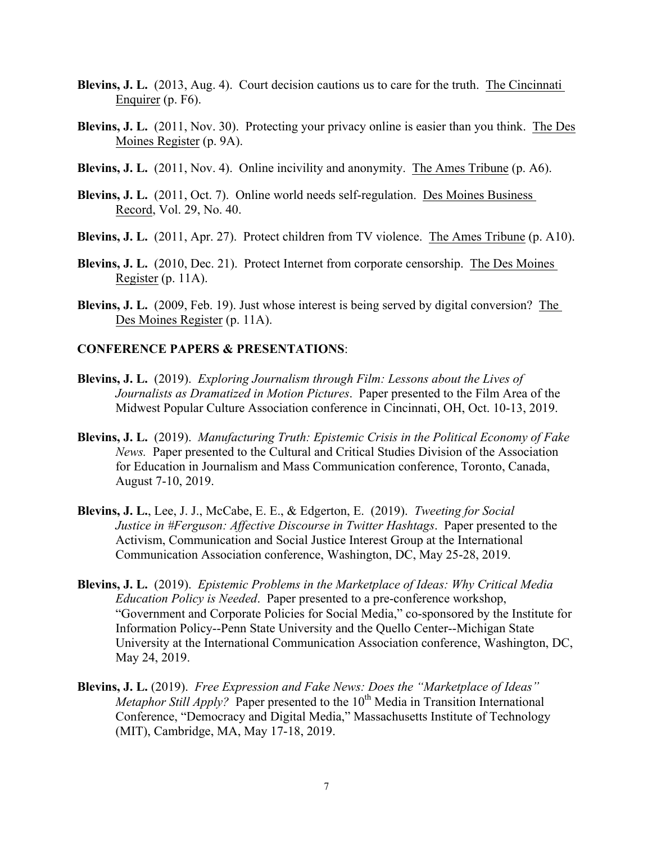- **Blevins, J. L.** (2013, Aug. 4). Court decision cautions us to care for the truth. The Cincinnati Enquirer (p. F6). Enquirer (p. F6).
- **Blevins, J. L.** (2011, Nov. 30). Protecting your privacy online is easier than you think. The Des Moines Register (p. 9A). Moines Register (p. 9A).
- **Blevins, J. L.** (2011, Nov. 4). Online incivility and anonymity. The Ames Tribune (p. A6).
- **Blevins, J. L.** (2011, Oct. 7). Online world needs self-regulation. <u>Des Moines Business</u> Record, Vol. 29, No. 40.
- **Blevins, J. L.** (2011, Apr. 27). Protect children from TV violence. The Ames Tribune (p. A10).
- **Blevins, J. L.** (2010, Dec. 21). Protect Internet from corporate censorship. The Des Moines Register (p. 11A).
- **Blevins, J. L.** (2009, Feb. 19). Just whose interest is being served by digital conversion? The Des Moines Register (p. 11A).

#### **CONFERENCE PAPERS & PRESENTATIONS**:

- **Blevins, J. L.** (2019). *Exploring Journalism through Film: Lessons about the Lives of Journalists as Dramatized in Motion Pictures*. Paper presented to the Film Area of the Midwest Popular Culture Association conference in Cincinnati, OH, Oct. 10-13, 2019.
- **Blevins, J. L.** (2019). *Manufacturing Truth: Epistemic Crisis in the Political Economy of Fake News.* Paper presented to the Cultural and Critical Studies Division of the Association News. Paper presented to the Cultural and Critical Studies Division of the Association for Education in Journalism and Mass Communication conference, Toronto, Canada, August 7-10, 2019.
- **Blevins, J. L.,** Lee, J. J., McCabe, E. E., & Edgerton, E. (2019). *Tweeting for Social Blastice in #Ferguson: Affective Discourse in Twitter Hashtags. Paper presented to the* Activism, Communication and Social Justice Interest Group at the International Communication Association conference, Washington, DC, May 25-28, 2019.
- **Blevins, J. L.** (2019). *Epistemic Problems in the Marketplace of Ideas: Why Critical Media Education Policy is Needed*. Paper presented to a pre-conference workshop, "Government and Corporate Policies for Social Media," co-sponsored by the Institute for Information Policy--Penn State University and the Quello Center--Michigan State University at the International Communication Association conference, Washington, DC, May 24, 2019.
- **Blevins, J. L.** (2019). Free Expression and Fake News: Does the "Marketplace of Ideas" *Metaphor Still Apply?* Paper presented to the 10<sup>th</sup> Media in Transition International Conference, "Democracy and Digital Media," Massachusetts Institute of Technology (MIT), Cambridge, MA, May 17-18, 2019.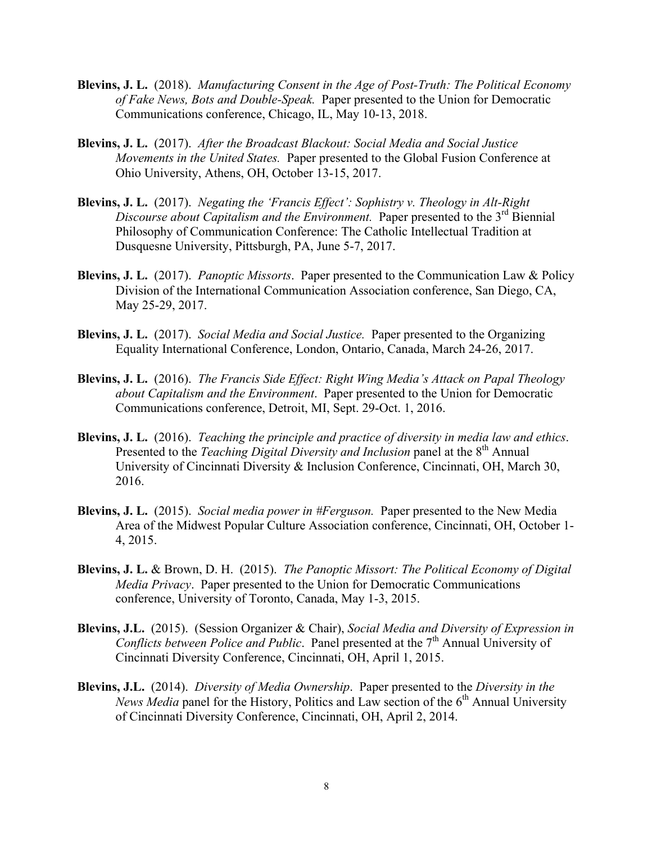- **Blevins, J. L.** (2018). *Manufacturing Consent in the Age of Post-Truth: The Political Economy of Fake News, Bots and Double-Speak.* Paper presented to the Union for Democratic Communications conference, Chicago, IL, May 10-13, 2018.
- **Blevins, J. L.** (2017). After the Broadcast Blackout: Social Media and Social Justice Blevins, J. L. (2017). After the Broadcast Blackout: Social Media and Social Justice<br>Movements in the United States. Paper presented to the Global Fusion Conference at<br>Ohio University, Athens, OH, October 13-15, 2017.
- **Blevins, J. L.** (2017). *Negating the 'Francis Effect': Sophistry v. Theology in Alt-Right* **Blevins, J. L.** (2017). *Negating the 'Francis Effect': Sophistry v. Theology in Alt-Right Discourse about Capitalism and the Environment. Paper presented to the 3<sup>rd</sup> Biennial* Philosophy of Communication Conference: The Catholic Intellectual Tradition at Dusquesne University, Pittsburgh, PA, June 5-7, 2017.
- **Blevins, J. L.** (2017). *Panoptic Missorts*. Paper presented to the Communication Law & Policy Division of the International Communication Association conference, San Diego, CA, May 25-29, 2017.
- **Blevins, J. L.** (2017). *Social Media and Social Justice.* Paper presented to the Organizing Equality International Conference, London, Ontario, Canada, March 24-26, 2017.
- **Blevins, J. L.** (2016). *The Francis Side Effect: Right Wing Media's Attack on Papal Theology about Capitalism and the Environment*. Paper presented to the Union for Democratic Communications conference, Detroit, MI, Sept. 29-Oct. 1, 2016.
- **Blevins, J. L.** (2016). *Teaching the principle and practice of diversity in media law and ethics*. Presented to the *Teaching Digital Diversity and Inclusion* panel at the 8<sup>th</sup> Annual University of Cincinnati Diversity & Inclusion Conference, Cincinnati, OH, March 30, 2016.
- **Blevins, J. L.** (2015). *Social media power in #Ferguson.* Paper presented to the New Media Area of the Midwest Popular Culture Association conference, Cincinnati, OH, October 1- 4, 2015.
- Blevins, J. L. & Brown, D. H. (2015). *The Panoptic Missort: The Political Economy of Digital Media Privacy*. Paper presented to the Union for Democratic Communications conference, University of Toronto, Canada, May 1-3, 2 *Media Privacy.* Paper presented to the Union for Democratic Communications
- **Blevins, J.L.** (2015). (Session Organizer & Chair), *Social Media and Diversity of Expression in Conflicts between Police and Public.* Panel presented at the 7<sup>th</sup> Annual University of Cincinnati Diversity Conference, Cincinnati, OH, April 1, 2015.
- Blevins, J.L. (2014). *Diversity of Media Ownership*. Paper presented to the *Diversity in the* **Blevins, J.L.** (2014). *Diversity of Media Ownership*. Paper presented to the *Diversity in the News Media* panel for the History, Politics and Law section of the 6<sup>th</sup> Annual University of Cincinnati Diversity Conference, Cincinnati, OH, April 2, 2014.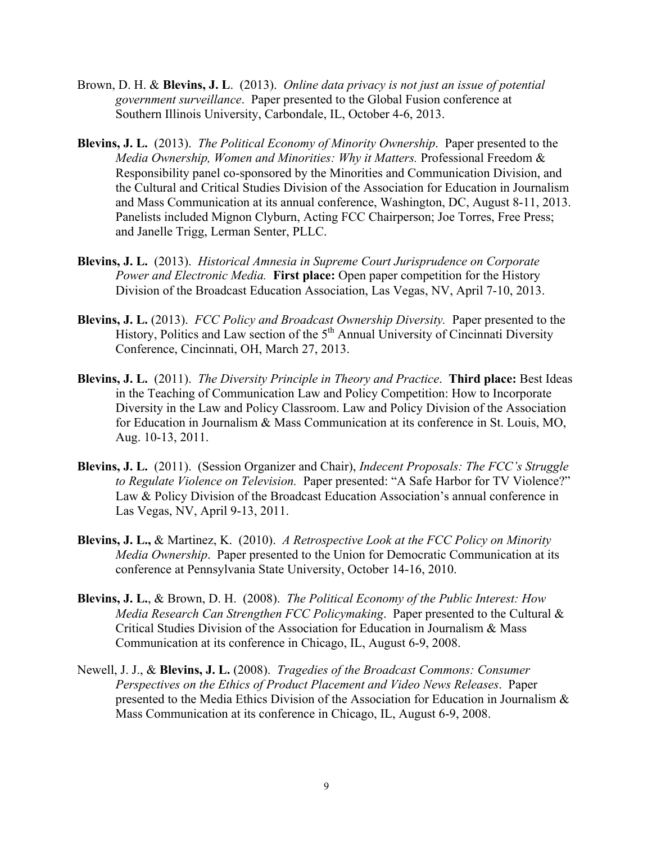- Brown, D. H. & Blevins, J. L. (2013). *Online data privacy is not just an issue of potential government surveillance*. Paper presented to the Global Fusion conference at Southern Illinois University, Carbondale, IL, Octobe government surveillance. Paper presented to the Global Fusion conference at Southern Illinois University, Carbondale, IL, October 4-6, 2013.
- **Blevins, J. L.** (2013). *The Political Economy of Minority Ownership*. Paper presented to the and Mass Communication at its annual conference, Washington, DC, August 8-11, 2013. Panelists included Mignon Clyburn, Acting FCC Chairperson; Joe Torres, Free Press; *Media Ownership, Women and Minorities: Why it Matters.* Professional Freedom & Responsibility panel co-sponsored by the Minorities and Communication Division, and the Cultural and Critical Studies Division of the Association for Education in Journalism and Janelle Trigg, Lerman Senter, PLLC.
- **Blevins, J. L.** (2013). *Historical Amnesia in Supreme Court Jurisprudence on Corporate Power and Electronic Media.* **First place:** Open paper competition for the History Division of the Broadcast Education Association, Las Vegas, NV, April 7-10, 2013.
- **Blevins, J. L.** (2013). *FCC Policy and Broadcast Ownership Diversity.* Paper presented to the History, Politics and Law section of the  $5<sup>th</sup>$  Annual University of Cincinnati Diversity Conference, Cincinnati, OH, March 27, 2013.
- **Blevins, J. L.** (2011). *The Diversity Principle in Theory and Practice*. **Third place:** Best Ideas in the Teaching of Communication Law and Policy Competition: How to Incorporate Diversity in the Law and Policy Classroom. Law and Policy Division of the Association for Education in Journalism & Mass Communication at its conference in St. Louis, MO, Aug. 10-13, 2011.
- **Blevins, J. L.** (2011). (Session Organizer and Chair), *Indecent Proposals: The FCC's Struggle to Regulate Violence on Television.* Paper presented: "A Safe Harbor for TV Violence?" Law & Policy Division of the Broadcast Education Association's annual conference in Las Vegas, NV, April 9-13, 2011.
- **Blevins, J. L.,** & Martinez, K. (2010). *A Retrospective Look at the FCC Policy on Minority Media Ownership*. Paper presented to the Union for Democratic Communication at its conference at Pennsylvania State University, October 14-16, 2010.
- *Media Research Can Strengthen FCC Policymaking*. Paper presented to the Cultural & Critical Studies Division of the Association for Education in Journalism & Mass Communication at its conference in Chicago, IL, August 6-9, 2008. **Blevins, J. L.**, & Brown, D. H. (2008). *The Political Economy of the Public Interest: How*
- Newell, J. J., & **Blevins, J. L.** (2008). *Tragedies of the Broadcast Commons: Consumer Perspectives on the Ethics of Product Placement and Video News Releases*. Paper presented to the Media Ethics Division of the Association for Education in Journalism & Mass Communication at its conference in Chicago, IL, August 6-9, 2008.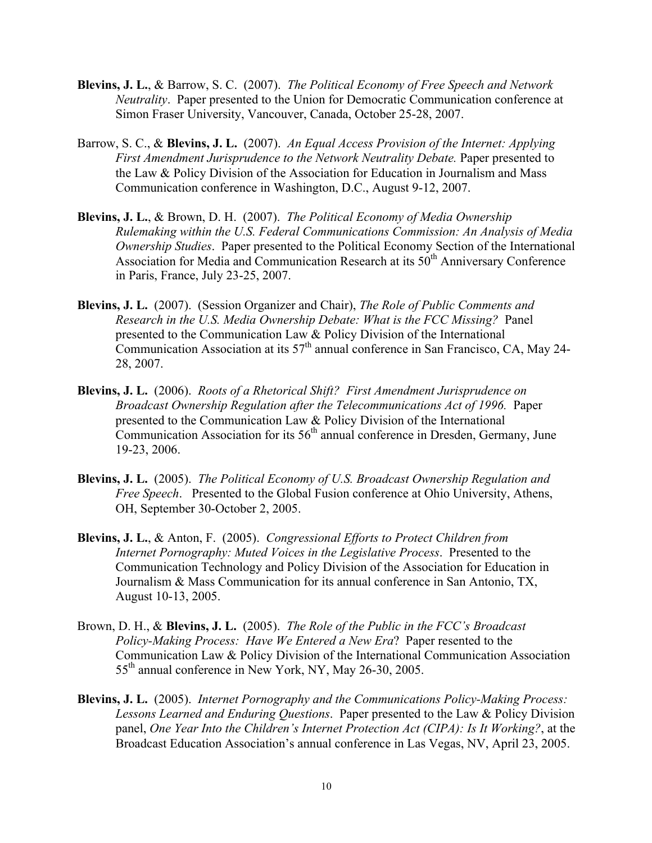- Blevins, J. L., & Barrow, S. C. (2007). *The Political Economy of Free Speech and Network*<br>*Neutrality*. Paper presented to the Union for Democratic Communication conference at<br>Simon Fraser University, Vancouver, Canada, Neutrality. Paper presented to the Union for Democratic Communication conference at
- Barrow, S. C., & **Blevins, J. L.** (2007). *An Equal Access Provision of the Internet: Applying*  the Law & Policy Division of the Association for Education in Journalism and Mass Communication conference in Washington, D.C., August 9-12, 2007. *First Amendment Jurisprudence to the Network Neutrality Debate.* Paper presented to
- **Blevins, J. L.**, & Brown, D. H. (2007). *The Political Economy of Media Ownership Rulemaking within the U.S. Federal Communications Commission: An Analysis of Media Ownership Studies*. Paper presented to the Political Economy Section of the International Association for Media and Communication Research at its  $50<sup>th</sup>$  Anniversary Conference in Paris, France, July 23-25, 2007.
- **Blevins, J. L.** (2007). (Session Organizer and Chair), *The Role of Public Comments and Research in the U.S. Media Ownership Debate: What is the FCC Missing?* Panel presented to the Communication Law & Policy Division of the International Communication Association at its 57th annual conference in San Francisco, CA, May 24- 28, 2007.
- **Blevins, J. L.** (2006). *Roots of a Rhetorical Shift? First Amendment Jurisprudence on Broadcast Ownership Regulation after the Telecommunications Act of 1996.* Paper presented to the Communication Law & Policy Division of the International presented to the Communication Law & Policy Division of the International Communication Association for its  $56<sup>th</sup>$  annual conference in Dresden, Germany, June 19-23, 2006.
- **Blevins, J. L.** (2005). *The Political Economy of U.S. Broadcast Ownership Regulation and Free Speech*. Presented to the Global Fusion conference at Ohio University, Athens, OH, September 30-October 2, 2005.
- Blevins, J. L., & Anton, F. (2005). Congressional Efforts to Protect Children from<br>Internet Pornography: Muted Voices in the Legislative Process. Presented to the<br>Communication Technology and Policy Division of the Associa Internet Pornography: Muted Voices in the Legislative Process. Presented to the Journalism & Mass Communication for its annual conference in San Antonio, TX, August 10-13, 2005.
- Brown, D. H., & **Blevins, J. L.** (2005). *The Role of the Public in the FCC's Broadcast Policy-Making Process: Have We Entered a New Era*? Paper resented to the Communication Law & Policy Division of the International Communication Association 55th annual conference in New York, NY, May 26-30, 2005.
- **Blevins, J. L.** (2005). *Internet Pornography and the Communications Policy-Making Process:*  panel, One Year Into the Children's Internet Protection Act (CIPA): Is It Working?, at the *Lessons Learned and Enduring Questions*. Paper presented to the Law & Policy Division Broadcast Education Association's annual conference in Las Vegas, NV, April 23, 2005.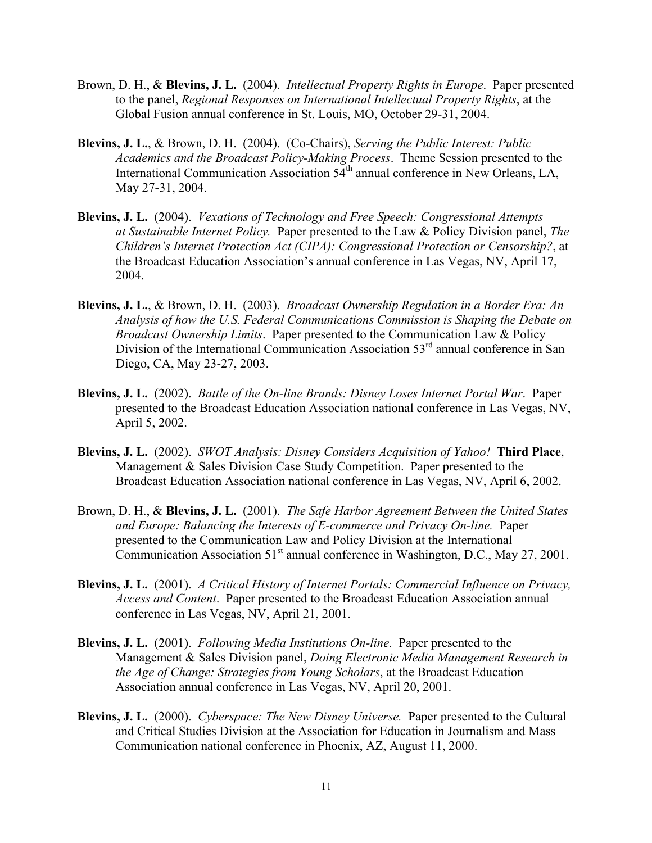- Brown, D. H., & **Blevins, J. L.** (2004). *Intellectual Property Rights in Europe*. Paper presented to the panel, *Regional Responses on International Intellectual Property Rights*, at the Global Fusion annual conference in St. Louis, MO, October 29-31, 2004.
- Blevins, J. L., & Brown, D. H. (2004). (Co-Chairs), Serving the Public Interest: Public Academics and the Broadcast Policy-Making Process. Theme Session presented to the International Communication Association 54<sup>th</sup> annual conference in New Orleans, LA, May 27-31, 2004.
- **Blevins, J. L.** (2004). *Vexations of Technology and Free Speech: Congressional Attempts at Sustainable Internet Policy.* Paper presented to the Law & Policy Division panel, *The*  Children's Internet Protection Act (CIPA): Congressional Protection or Censorship?, at the Broadcast Education Association's annual conference in Las Vegas, NV, April 17, 2004.
- **Blevins, J. L.**, & Brown, D. H. (2003). *Broadcast Ownership Regulation in a Border Era: An Analysis of how the U.S. Federal Communications Commission is Shaping the Debate on Broadcast Ownership Limits*. Paper presented to the Communication Law & Policy Division of the International Communication Association 53<sup>rd</sup> annual conference in San Diego, CA, May 23-27, 2003.
- **Blevins, J. L.** (2002). *Battle of the On-line Brands: Disney Loses Internet Portal War*. Paper presented to the Broadcast Education Association national conference in Las Vegas, NV, April 5, 2002.
- **Blevins, J. L.** (2002). *SWOT Analysis: Disney Considers Acquisition of Yahoo!* **Third Place**, Management & Sales Division Case Study Competition. Paper presented to the Broadcast Education Association national conference in Las Vegas, NV, April 6, 2002.
- Brown, D. H., & **Blevins, J. L.** (2001). *The Safe Harbor Agreement Between the United States and Europe: Balancing the Interests of E-commerce and Privacy On-line.* Paper presented to the Communication Law and Policy Division at the International Communication Association  $51<sup>st</sup>$  annual conference in Washington, D.C., May 27, 2001.
- **Blevins, J. L.** (2001). *A Critical History of Internet Portals: Commercial Influence on Privacy, Access and Content*. Paper presented to the Broadcast Education Association annual conference in Las Vegas, NV, April 21, 2001.
- **Blevins, J. L.** (2001). *Following Media Institutions On-line.* Paper presented to the Management & Sales Division panel, *Doing Electronic Media Management Research in the Age of Change: Strategies from Young Scholars*, at the Broadcast Education Association annual conference in Las Vegas, NV, April 20, 2001.
- **Blevins, J. L.** (2000). *Cyberspace: The New Disney Universe.* Paper presented to the Cultural and Critical Studies Division at the Association for Education in Journalism and Mass Communication national conference in Phoenix, AZ, August 11, 2000.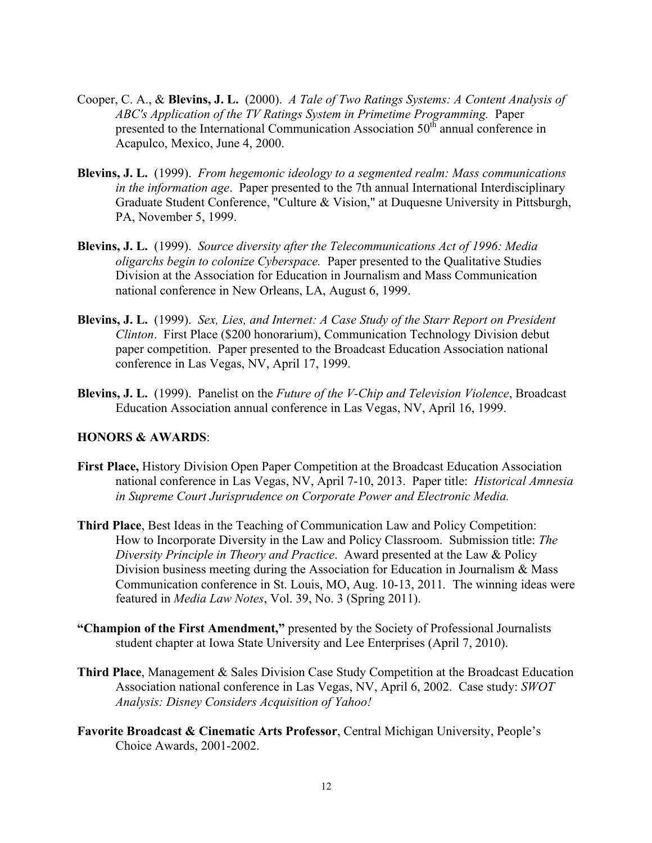- Cooper, C. A., & **Blevins, J. L.** (2000). *A Tale of Two Ratings Systems: A Content Analysis of ABC's Application of the TV Ratings System in Primetime Programming.* Paper presented to the International Communication Association 50<sup>th</sup> annual conference in Acapulco, Mexico, June 4, 2000.
- **Blevins, J. L.** (1999). *From hegemonic ideology to a segmented realm: Mass communications in the information age*. Paper presented to the 7th annual International Interdisciplinary Graduate Student Conference, "Culture & Vision," at Duquesne University in Pittsburgh, PA, November 5, 1999.
- **Blevins, J. L.** (1999). *Source diversity after the Telecommunications Act of 1996: Media oligarchs begin to colonize Cyberspace.* Paper presented to the Qualitative Studies Division at the Association for Education in Journalism and Mass Communication national conference in New Orleans, LA, August 6, 1999.
- **Blevins, J. L.** (1999). *Sex, Lies, and Internet: A Case Study of the Starr Report on President*  Clinton. First Place (\$200 honorarium), Communication Technology Division debut *Clinton*. First Place (\$200 honorarium), Communication Technology Division debut paper competition. Paper presented to the Broadcast Education Association national conference in Las Vegas, NV, April 17, 1999.
- **Blevins, J. L.** (1999). Panelist on the *Future of the V-Chip and Television Violence*, Broadcast Education Association annual conference in Las Vegas, NV, April 16, 1999.

## **HONORS & AWARDS**:

- national conference in Las Vegas, NV, April 7-10, 2013. Paper title: *Historical Amnesia*  **First Place,** History Division Open Paper Competition at the Broadcast Education Association *in Supreme Court Jurisprudence on Corporate Power and Electronic Media.*
- **Third Place, Best Ideas in the Teaching of Communication Law and Policy Competition:**  Communication conference in St. Louis, MO, Aug. 10-13, 2011*.* The winning ideas were How to Incorporate Diversity in the Law and Policy Classroom. Submission title: *The Diversity Principle in Theory and Practice*. Award presented at the Law & Policy Division business meeting during the Association for Education in Journalism & Mass featured in *Media Law Notes*, Vol. 39, No. 3 (Spring 2011).
- **"Champion of the First Amendment,"** presented by the Society of Professional Journalists student chapter at Iowa State University and Lee Enterprises (April 7, 2010).
- Association national conference in Las Vegas, NV, April 6, 2002. Case study: *SWOT Analysis: Disney Considers Acquisition of Yahoo!*  **Third Place**, Management & Sales Division Case Study Competition at the Broadcast Education
- **Favorite Broadcast & Cinematic Arts Professor**, Central Michigan University, People's Choice Awards, 2001-2002.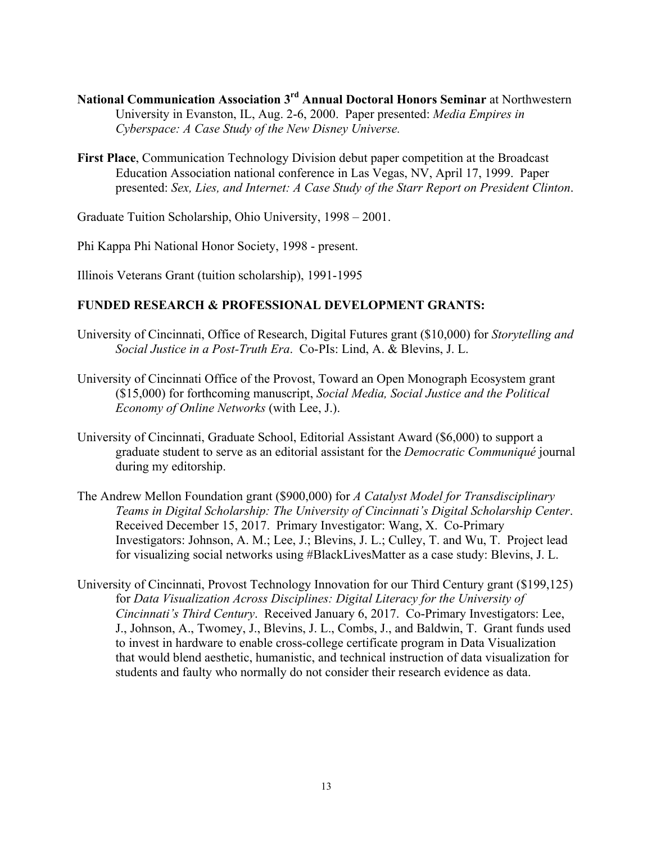- **National Communication Association 3rd Annual Doctoral Honors Seminar** at Northwestern University in Evanston, IL, Aug. 2-6, 2000. Paper presented: *Media Empires in Cyberspace: A Case Study of the New Disney Universe.*
- **First Place**, Communication Technology Division debut paper competition at the Broadcast Education Association national conference in Las Vegas, NV, April 17, 1999. Paper presented: *Sex, Lies, and Internet: A Case Study of the Starr Report on President Clinton*.

Graduate Tuition Scholarship, Ohio University, 1998 – 2001.

Phi Kappa Phi National Honor Society, 1998 - present.

Illinois Veterans Grant (tuition scholarship), 1991-1995

## **FUNDED RESEARCH & PROFESSIONAL DEVELOPMENT GRANTS:**

- University of Cincinnati, Office of Research, Digital Futures grant (\$10,000) for *Storytelling and Social Justice in a Post-Truth Era*. Co-PIs: Lind, A. & Blevins, J. L.
- University of Cincinnati Office of the Provost, Toward an Open Monograph Ecosystem grant (\$15,000) for forthcoming manuscript, *Social Media, Social Justice and the Political Economy of Online Networks* (with Lee, J.).
- University of Cincinnati, Graduate School, Editorial Assistant Award (\$6,000) to support a University of Cincinnati, Graduate School, Editorial Assistant Award (\$6,000) to support a graduate student to serve as an editorial assistant for the *Democratic Communiqué* journal during my editorship.
- The Andrew Mellon Foundation grant (\$900,000) for *A Catalyst Model for Transdisciplinary Teams in Digital Scholarship: The University of Cincinnati's Digital Scholarship Center*. Received December 15, 2017. Primary Investigator: Wang, X. Co-Primary Investigators: Johnson, A. M.; Lee, J.; Blevins, J. L.; Culley, T. and Wu, T. Project lead for visualizing social networks using #BlackLivesMatter as a case study: Blevins, J. L.
- for *Data Visualization Across Disciplines: Digital Literacy for the University of Cincinnati's Third Century*. Received January 6, 2017. Co-Primary Investigators: Lee, University of Cincinnati, Provost Technology Innovation for our Third Century grant (\$199,125) J., Johnson, A., Twomey, J., Blevins, J. L., Combs, J., and Baldwin, T. Grant funds used to invest in hardware to enable cross-college certificate program in Data Visualization that would blend aesthetic, humanistic, and technical instruction of data visualization for students and faulty who normally do not consider their research evidence as data.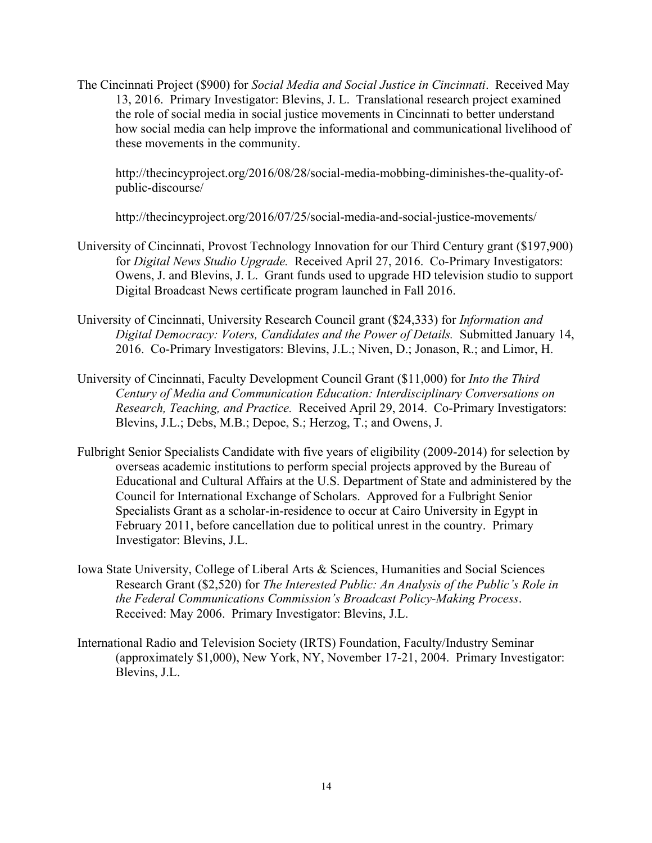13, 2016. Primary Investigator: Blevins, J. L. Translational research project examined The Cincinnati Project (\$900) for *Social Media and Social Justice in Cincinnati*. Received May the role of social media in social justice movements in Cincinnati to better understand how social media can help improve the informational and communicational livelihood of these movements in the community.

<http://thecincyproject.org/2016/08/28/social-media-mobbing-diminishes-the-quality-of>public-discourse/

[http://thecincyproject.org/2016/07/25/social-media-and-social-justice-movements/](http://thecincyproject.org/2016/07/25/social-media-and-social-justice-movements)

- for *Digital News Studio Upgrade.* Received April 27, 2016. Co-Primary Investigators: Owens, J. and Blevins, J. L. Grant funds used to upgrade HD television studio to support University of Cincinnati, Provost Technology Innovation for our Third Century grant (\$197,900) Digital Broadcast News certificate program launched in Fall 2016.
- University of Cincinnati, University Research Council grant (\$24,333) for *Information and Digital Democracy: Voters, Candidates and the Power of Details.* Submitted January 14, 2016. Co-Primary Investigators: Blevins, J.L.; Niven, D.; Jonason, R.; and Limor, H.
- *Research, Teaching, and Practice.* Received April 29, 2014. Co-Primary Investigators: Blevins, J.L.; Debs, M.B.; Depoe, S.; Herzog, T.; and Owens, J. University of Cincinnati, Faculty Development Council Grant (\$11,000) for *Into the Third Century of Media and Communication Education: Interdisciplinary Conversations on*
- overseas academic institutions to perform special projects approved by the Bureau of February 2011, before cancellation due to political unrest in the country. Primary Investigator: Blevins, J.L. Fulbright Senior Specialists Candidate with five years of eligibility (2009-2014) for selection by overseas academic institutions to perform special projects approved by the Bureau of<br>Educational and Cultural Affairs at the U.S. Department of State and administered by the<br>Council for International Exchange of Scholars. Specialists Grant as a scholar-in-residence to occur at Cairo University in Egypt in
- Iowa State University, College of Liberal Arts & Sciences, Humanities and Social Sciences Received: May 2006. Primary Investigator: Blevins, J.L. Research Grant (\$2,520) for *The Interested Public: An Analysis of the Public's Role in the Federal Communications Commission's Broadcast Policy-Making Process*.
- (approximately \$1,000), New York, NY, November 17-21, 2004. Primary Investigator: International Radio and Television Society (IRTS) Foundation, Faculty/Industry Seminar Blevins, J.L.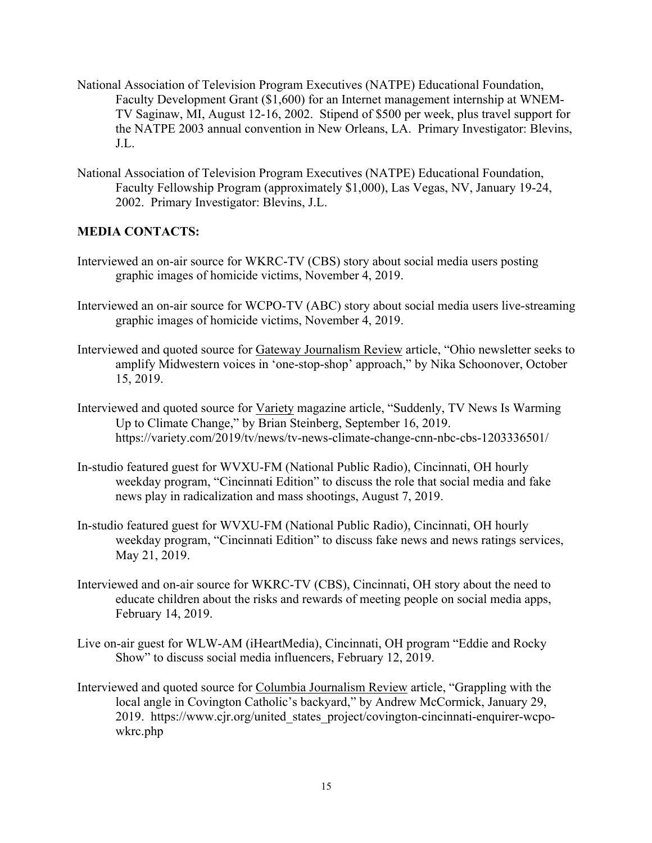- the NATPE 2003 annual convention in New Orleans, LA. Primary Investigator: Blevins, National Association of Television Program Executives (NATPE) Educational Foundation, Faculty Development Grant (\$1,600) for an Internet management internship at WNEM-TV Saginaw, MI, August 12-16, 2002. Stipend of \$500 per week, plus travel support for J.L.
- 2002. Primary Investigator: Blevins, J.L. National Association of Television Program Executives (NATPE) Educational Foundation, Faculty Fellowship Program (approximately \$1,000), Las Vegas, NV, January 19-24,

# **MEDIA CONTACTS:**

- Interviewed an on-air source for WKRC-TV (CBS) story about social media users posting graphic images of homicide victims, November 4, 2019.
- Interviewed an on-air source for WCPO-TV (ABC) story about social media users live-streaming graphic images of homicide victims, November 4, 2019.
- Interviewed and quoted source for Gateway Journalism Review article, "Ohio newsletter seeks to amplify Midwestern voices in 'one-stop-shop' approach," by Nika Schoonover, October 15, 2019.
- Interviewed and quoted source for Variety magazine article, "Suddenly, TV News Is Warming Up to Climate Change," by Brian Steinberg, September 16, 2019. <https://variety.com/2019/tv/news/tv-news-climate-change-cnn-nbc-cbs-1203336501>/
- weekday program, "Cincinnati Edition" to discuss the role that social media and fake news play in radicalization and mass shootings, August 7, 2019. In-studio featured guest for WVXU-FM (National Public Radio), Cincinnati, OH hourly
- In-studio featured guest for WVXU-FM (National Public Radio), Cincinnati, OH hourly weekday program, "Cincinnati Edition" to discuss fake news and news ratings services, May 21, 2019.
- Interviewed and on-air source for WKRC-TV (CBS), Cincinnati, OH story about the need to educate children about the risks and rewards of meeting people on social media apps, February 14, 2019.
- Live on-air guest for WLW-AM (iHeartMedia), Cincinnati, OH program "Eddie and Rocky Show" to discuss social media influencers, February 12, 2019.
- Interviewed and quoted source for Columbia Journalism Review article, "Grappling with the Iocal angle in Covington Catholic's backyard," by Andrew McCormick, January 29, 2019. [https://www.cjr.org/united\\_states\\_project/covington-cincinnati-enquirer-wcpo](https://www.cjr.org/united_states_project/covington-cincinnati-enquirer-wcpo)wkrc.php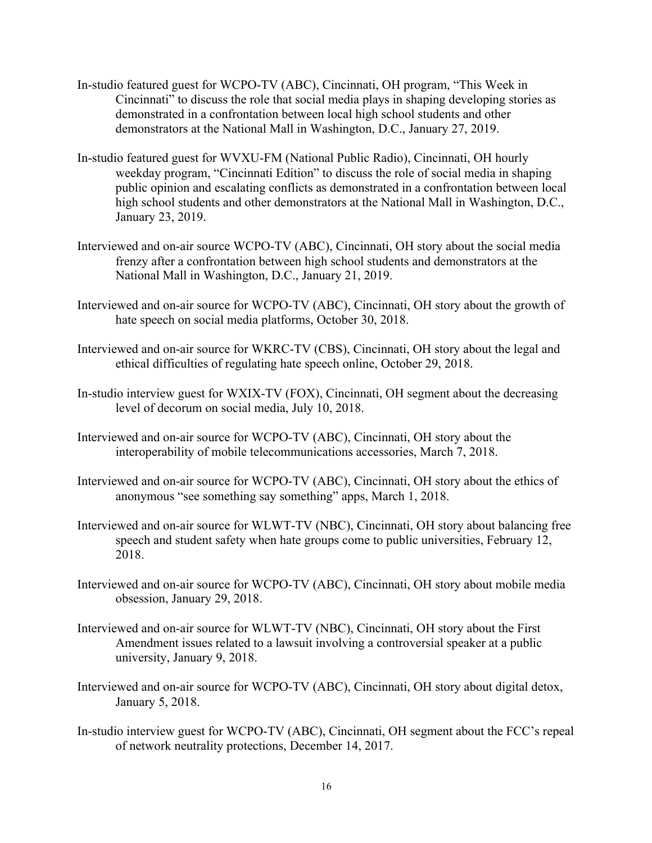- In-studio featured guest for WCPO-TV (ABC), Cincinnati, OH program, "This Week in Cincinnati" to discuss the role that social media plays in shaping developing stories as demonstrated in a confrontation between local high school students and other demonstrators at the National Mall in Washington, D.C., January 27, 2019.
- In-studio featured guest for WVXU-FM (National Public Radio), Cincinnati, OH hourly weekday program, "Cincinnati Edition" to discuss the role of social media in shaping public opinion and escalating conflicts as demonstrated in a confrontation between local high school students and other demonstrators at the National Mall in Washington, D.C., January 23, 2019.
- Interviewed and on-air source WCPO-TV (ABC), Cincinnati, OH story about the social media frenzy after a confrontation between high school students and demonstrators at the National Mall in Washington, D.C., January 21, 2019.
- Interviewed and on-air source for WCPO-TV (ABC), Cincinnati, OH story about the growth of hate speech on social media platforms, October 30, 2018.
- Interviewed and on-air source for WKRC-TV (CBS), Cincinnati, OH story about the legal and ethical difficulties of regulating hate speech online, October 29, 2018.
- In-studio interview guest for WXIX-TV (FOX), Cincinnati, OH segment about the decreasing level of decorum on social media, July 10, 2018.
- Interviewed and on-air source for WCPO-TV (ABC), Cincinnati, OH story about the interoperability of mobile telecommunications accessories, March 7, 2018.
- Interviewed and on-air source for WCPO-TV (ABC), Cincinnati, OH story about the ethics of anonymous "see something say something" apps, March 1, 2018.
- Interviewed and on-air source for WLWT-TV (NBC), Cincinnati, OH story about balancing free speech and student safety when hate groups come to public universities, February 12, 2018.
- Interviewed and on-air source for WCPO-TV (ABC), Cincinnati, OH story about mobile media obsession, January 29, 2018.
- Interviewed and on-air source for WLWT-TV (NBC), Cincinnati, OH story about the First Amendment issues related to a lawsuit involving a controversial speaker at a public university, January 9, 2018.
- Interviewed and on-air source for WCPO-TV (ABC), Cincinnati, OH story about digital detox, January 5, 2018.
- In-studio interview guest for WCPO-TV (ABC), Cincinnati, OH segment about the FCC's repeal of network neutrality protections, December 14, 2017.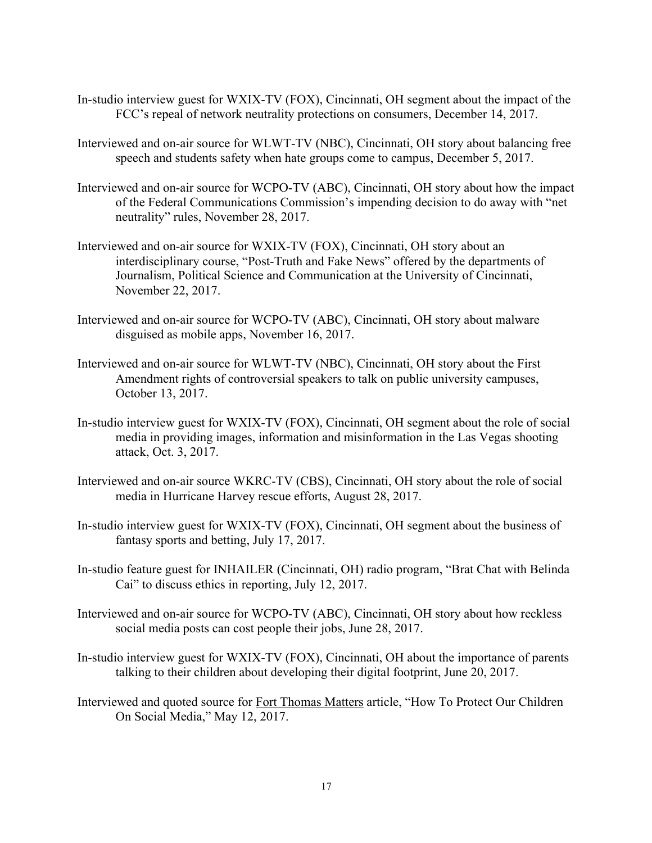- In-studio interview guest for WXIX-TV (FOX), Cincinnati, OH segment about the impact of the FCC's repeal of network neutrality protections on consumers, December 14, 2017.
- Interviewed and on-air source for WLWT-TV (NBC), Cincinnati, OH story about balancing free speech and students safety when hate groups come to campus, December 5, 2017.
- Interviewed and on-air source for WCPO-TV (ABC), Cincinnati, OH story about how the impact of the Federal Communications Commission's impending decision to do away with "net neutrality" rules, November 28, 2017.
- Interviewed and on-air source for WXIX-TV (FOX), Cincinnati, OH story about an interdisciplinary course, "Post-Truth and Fake News" offered by the departments of Journalism, Political Science and Communication at the University of Cincinnati, November 22, 2017.
- Interviewed and on-air source for WCPO-TV (ABC), Cincinnati, OH story about malware disguised as mobile apps, November 16, 2017.
- Interviewed and on-air source for WLWT-TV (NBC), Cincinnati, OH story about the First Amendment rights of controversial speakers to talk on public university campuses, October 13, 2017.
- In-studio interview guest for WXIX-TV (FOX), Cincinnati, OH segment about the role of social media in providing images, information and misinformation in the Las Vegas shooting attack, Oct. 3, 2017.
- Interviewed and on-air source WKRC-TV (CBS), Cincinnati, OH story about the role of social media in Hurricane Harvey rescue efforts, August 28, 2017.
- In-studio interview guest for WXIX-TV (FOX), Cincinnati, OH segment about the business of fantasy sports and betting, July 17, 2017.
- In-studio feature guest for INHAILER (Cincinnati, OH) radio program, "Brat Chat with Belinda Cai" to discuss ethics in reporting, July 12, 2017.
- Interviewed and on-air source for WCPO-TV (ABC), Cincinnati, OH story about how reckless social media posts can cost people their jobs, June 28, 2017.
- In-studio interview guest for WXIX-TV (FOX), Cincinnati, OH about the importance of parents talking to their children about developing their digital footprint, June 20, 2017.
- Interviewed and quoted source for Fort Thomas Matters article, "How To Protect Our Children On Social Media," May 12, 2017.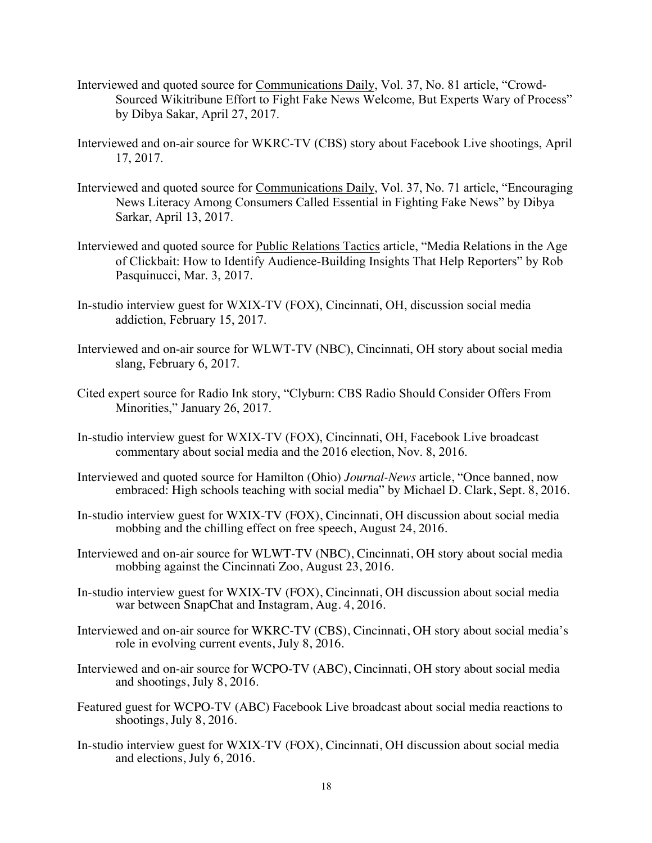- Sourced Wikitribune Effort to Fight Fake News Welcome, But Experts Wary of Process" by Dibya Sakar, April 27, 2017. Interviewed and quoted source for Communications Daily, Vol. 37, No. 81 article, "Crowd-
- Interviewed and on-air source for WKRC-TV (CBS) story about Facebook Live shootings, April 17, 2017.
- News Literacy Among Consumers Called Essential in Fighting Fake News" by Dibya Sarkar, April 13, 2017. Interviewed and quoted source for Communications Daily, Vol. 37, No. 71 article, "Encouraging
- Interviewed and quoted source for Public Relations Tactics article, "Media Relations in the Age of Clickbait: How to Identify Audience-Building Insights That Help Reporters" by Rob Pasquinucci, Mar. 3, 2017.
- In-studio interview guest for WXIX-TV (FOX), Cincinnati, OH, discussion social media addiction, February 15, 2017.
- Interviewed and on-air source for WLWT-TV (NBC), Cincinnati, OH story about social media slang, February 6, 2017.
- Cited expert source for Radio Ink story, "Clyburn: CBS Radio Should Consider Offers From Minorities," January 26, 2017.
- In-studio interview guest for WXIX-TV (FOX), Cincinnati, OH, Facebook Live broadcast commentary about social media and the 2016 election, Nov. 8, 2016.
- Interviewed and quoted source for Hamilton (Ohio) Journal-News article, "Once banned, now embraced: High schools teaching with social media" by Michael D. Clark, Sept. 8, 2016.
- In-studio interview guest for WXIX-TV (FOX), Cincinnati, OH discussion about social media mobbing and the chilling effect on free speech, August 24, 2016.
- Interviewed and on-air source for WLWT-TV (NBC), Cincinnati, OH story about social media mobbing against the Cincinnati Zoo, August 23, 2016.
- In-studio interview guest for WXIX-TV (FOX), Cincinnati, OH discussion about social media war between SnapChat and Instagram, Aug. 4, 2016.
- Interviewed and on-air source for WKRC-TV (CBS), Cincinnati, OH story about social media's role in evolving current events, July 8, 2016.
- Interviewed and on-air source for WCPO-TV (ABC), Cincinnati, OH story about social media and shootings, July 8, 2016.
- Featured guest for WCPO-TV (ABC) Facebook Live broadcast about social media reactions to shootings, July 8, 2016.
- In-studio interview guest for WXIX-TV (FOX), Cincinnati, OH discussion about social media and elections, July 6, 2016.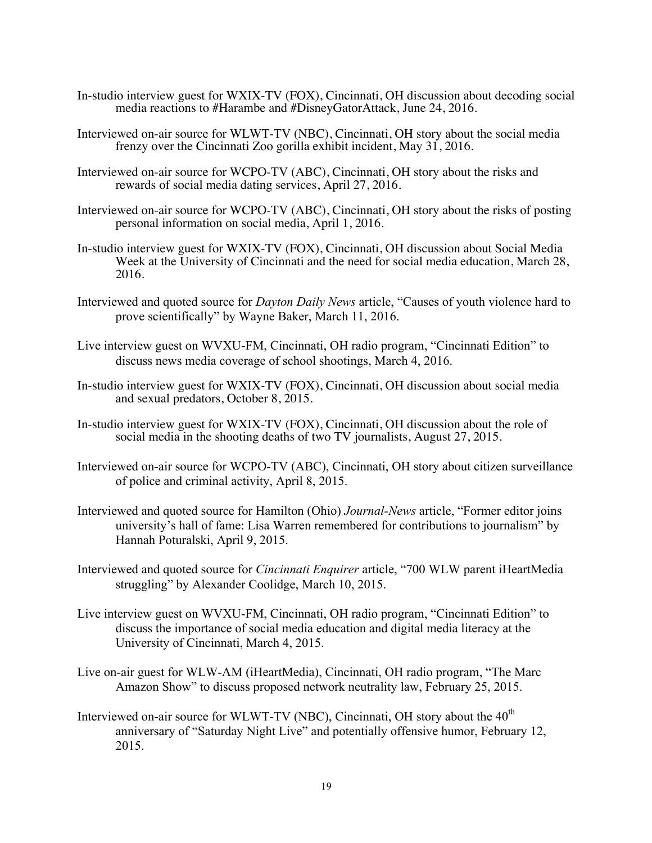- In-studio interview guest for WXIX-TV (FOX), Cincinnati, OH discussion about decoding social media reactions to #Harambe and #DisneyGatorAttack, June 24, 2016.
- Interviewed on-air source for WLWT-TV (NBC), Cincinnati, OH story about the social media frenzy over the Cincinnati Zoo gorilla exhibit incident, May 31, 2016.
- Interviewed on-air source for WCPO-TV (ABC), Cincinnati, OH story about the risks and rewards of social media dating services, April 27, 2016.
- personal information on social media, April 1, 2016. Interviewed on-air source for WCPO-TV (ABC), Cincinnati, OH story about the risks of posting
- In-studio interview guest for WXIX-TV (FOX), Cincinnati, OH discussion about Social Media Week at the University of Cincinnati and the need for social media education, March 28, 2016.
- Interviewed and quoted source for *Dayton Daily News* article, "Causes of youth violence hard to prove scientifically" by Wayne Baker, March 11, 2016.
- Live interview guest on WVXU-FM, Cincinnati, OH radio program, "Cincinnati Edition" to discuss news media coverage of school shootings, March 4, 2016.
- In-studio interview guest for WXIX-TV (FOX), Cincinnati, OH discussion about social media and sexual predators, October 8, 2015.
- In-studio interview guest for WXIX-TV (FOX), Cincinnati, OH discussion about the role of social media in the shooting deaths of two TV journalists, August 27, 2015.
- Interviewed on-air source for WCPO-TV (ABC), Cincinnati, OH story about citizen surveillance of police and criminal activity, April 8, 2015.
- Interviewed and quoted source for Hamilton (Ohio) *Journal-News* article, "Former editor joins university's hall of fame: Lisa Warren remembered for contributions to journalism" by Hannah Poturalski, April 9, 2015.
- Interviewed and quoted source for *Cincinnati Enquirer* article, "700 WLW parent iHeartMedia struggling" by Alexander Coolidge, March 10, 2015.
- discuss the importance of social media education and digital media literacy at the University of Cincinnati, March 4, 2015. Live interview guest on WVXU-FM, Cincinnati, OH radio program, "Cincinnati Edition" to
- Live on-air guest for WLW-AM (iHeartMedia), Cincinnati, OH radio program, "The Marc Amazon Show" to discuss proposed network neutrality law, February 25, 2015.
- Interviewed on-air source for WLWT-TV (NBC), Cincinnati, OH story about the  $40<sup>th</sup>$ anniversary of "Saturday Night Live" and potentially offensive humor, February 12, 2015.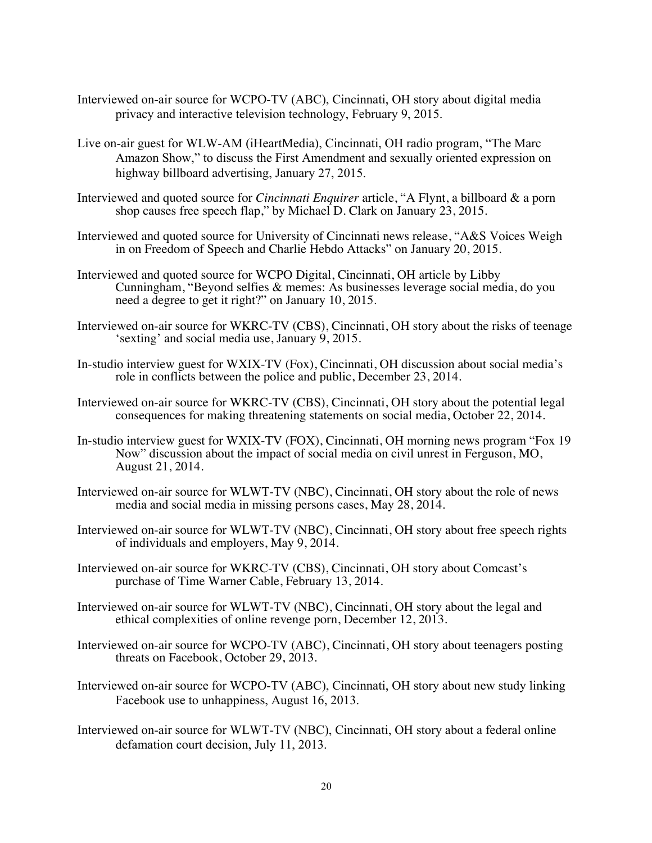- Interviewed on-air source for WCPO-TV (ABC), Cincinnati, OH story about digital media privacy and interactive television technology, February 9, 2015.
- Live on-air guest for WLW-AM (iHeartMedia), Cincinnati, OH radio program, "The Marc Amazon Show," to discuss the First Amendment and sexually oriented expression on highway billboard advertising, January 27, 2015.
- Interviewed and quoted source for *Cincinnati Enquirer* article, "A Flynt, a billboard & a porn shop causes free speech flap," by Michael D. Clark on January 23, 2015.
- Interviewed and quoted source for University of Cincinnati news release, "A&S Voices Weigh in on Freedom of Speech and Charlie Hebdo Attacks" on January 20, 2015.
- Interviewed and quoted source for WCPO Digital, Cincinnati, OH article by Libby Cunningham, "Beyond selfies & memes: As businesses leverage social media, do you need a degree to get it right?" on January 10, 2015.
- Interviewed on-air source for WKRC-TV (CBS), Cincinnati, OH story about the risks of teenage 'sexting' and social media use, January 9, 2015.
- In-studio interview guest for WXIX-TV (Fox), Cincinnati, OH discussion about social media's role in conflicts between the police and public, December 23, 2014.
- Interviewed on-air source for WKRC-TV (CBS), Cincinnati, OH story about the potential legal consequences for making threatening statements on social media, October 22, 2014.
- In-studio interview guest for WXIX-TV (FOX), Cincinnati, OH morning news program "Fox 19 Now" discussion about the impact of social media on civil unrest in Ferguson, MO, August 21, 2014.
- Interviewed on-air source for WLWT-TV (NBC), Cincinnati, OH story about the role of news media and social media in missing persons cases, May 28, 2014.
- Interviewed on-air source for WLWT-TV (NBC), Cincinnati, OH story about free speech rights of individuals and employers, May 9, 2014.
- Interviewed on-air source for WKRC-TV (CBS), Cincinnati, OH story about Comcast's purchase of Time Warner Cable, February 13, 2014.
- Interviewed on-air source for WLWT-TV (NBC), Cincinnati, OH story about the legal and ethical complexities of online revenge porn, December 12, 2013.
- Interviewed on-air source for WCPO-TV (ABC), Cincinnati, OH story about teenagers posting threats on Facebook, October 29, 2013.
- Interviewed on-air source for WCPO-TV (ABC), Cincinnati, OH story about new study linking Facebook use to unhappiness, August 16, 2013.
- Interviewed on-air source for WLWT-TV (NBC), Cincinnati, OH story about a federal online defamation court decision, July 11, 2013.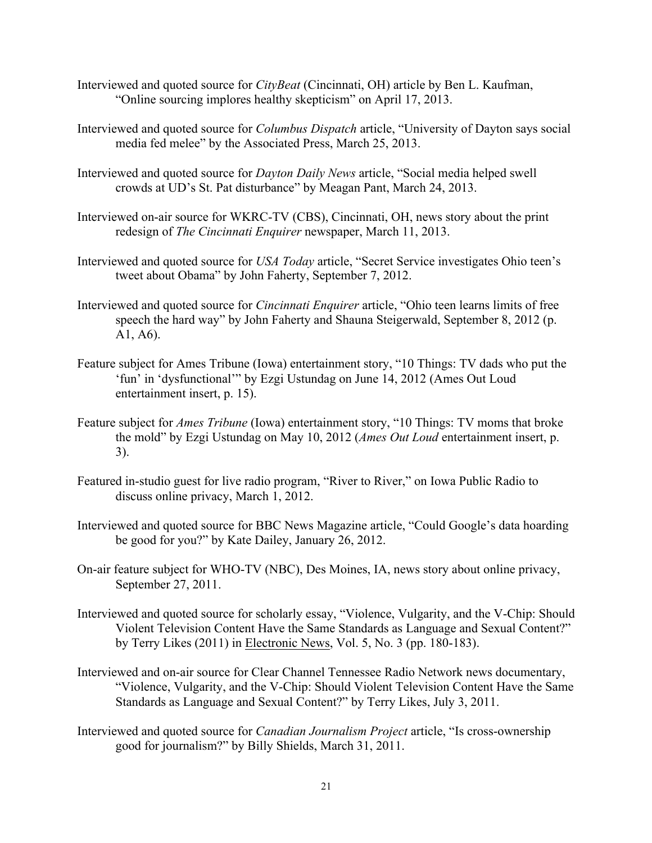- Interviewed and quoted source for *CityBeat* (Cincinnati, OH) article by Ben L. Kaufman, "Online sourcing implores healthy skepticism" on April 17, 2013.
- Interviewed and quoted source for *Columbus Dispatch* article, "University of Dayton says social media fed melee" by the Associated Press, March 25, 2013.
- Interviewed and quoted source for *Dayton Daily News* article, "Social media helped swell crowds at UD's St. Pat disturbance" by Meagan Pant, March 24, 2013.
- Interviewed on-air source for WKRC-TV (CBS), Cincinnati, OH, news story about the print redesign of *The Cincinnati Enquirer* newspaper, March 11, 2013.
- Interviewed and quoted source for *USA Today* article, "Secret Service investigates Ohio teen's tweet about Obama" by John Faherty, September 7, 2012.
- Interviewed and quoted source for *Cincinnati Enquirer* article, "Ohio teen learns limits of free speech the hard way" by John Faherty and Shauna Steigerwald, September 8, 2012 (p. A1, A6).
- Feature subject for Ames Tribune (Iowa) entertainment story, "10 Things: TV dads who put the 'fun' in 'dysfunctional'" by Ezgi Ustundag on June 14, 2012 (Ames Out Loud entertainment insert, p. 15).
- Feature subject for *Ames Tribune* (Iowa) entertainment story, "10 Things: TV moms that broke the mold" by Ezgi Ustundag on May 10, 2012 (*Ames Out Loud* entertainment insert, p. 3).
- Featured in-studio guest for live radio program, "River to River," on Iowa Public Radio to discuss online privacy, March 1, 2012.
- Interviewed and quoted source for BBC News Magazine article, "Could Google's data hoarding be good for you?" by Kate Dailey, January 26, 2012.
- On-air feature subject for WHO-TV (NBC), Des Moines, IA, news story about online privacy, September 27, 2011.
- Violent Television Content Have the Same Standards as Language and Sexual Content?" by Terry Likes (2011) in Electronic News, Vol. 5, No. 3 (pp. 180-183). Interviewed and quoted source for scholarly essay, "Violence, Vulgarity, and the V-Chip: Should
- "Violence, Vulgarity, and the V-Chip: Should Violent Television Content Have the Same Interviewed and on-air source for Clear Channel Tennessee Radio Network news documentary, Standards as Language and Sexual Content?" by Terry Likes, July 3, 2011.
- Interviewed and quoted source for *Canadian Journalism Project* article, "Is cross-ownership good for journalism?" by Billy Shields, March 31, 2011.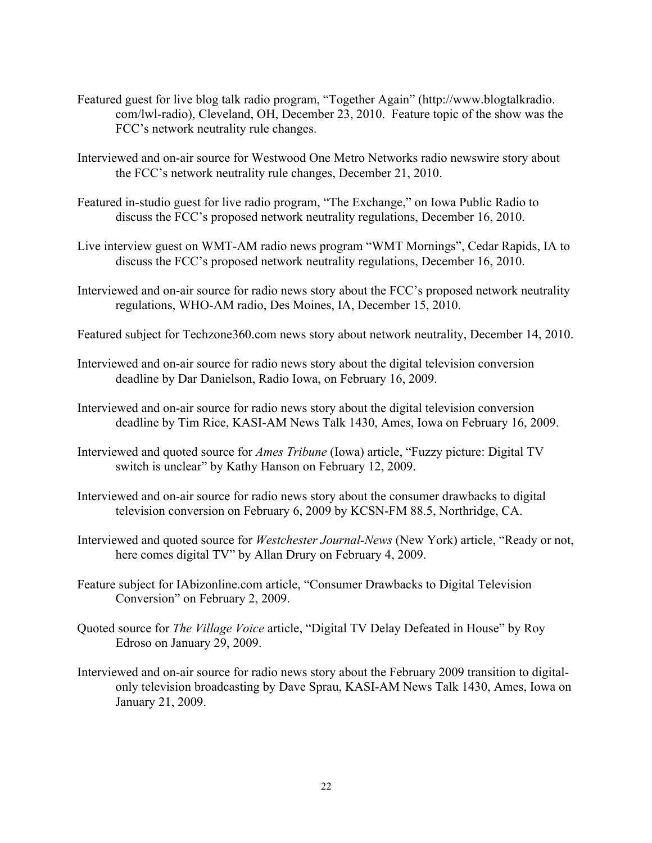- Featured guest for live blog talk radio program, "Together Again" (<http://www.blogtalkradio>.<br>com/lwl-radio), Cleveland, OH, December 23, 2010. Feature topic of the show was the<br>FCC's network neutrality rule changes. com/lwl-radio), Cleveland, OH, December 23, 2010. Feature topic of the show was the
- Interviewed and on-air source for Westwood One Metro Networks radio newswire story about the FCC's network neutrality rule changes, December 21, 2010.
- Featured in-studio guest for live radio program, "The Exchange," on Iowa Public Radio to discuss the FCC's proposed network neutrality regulations, December 16, 2010.
- Live interview guest on WMT-AM radio news program "WMT Mornings", Cedar Rapids, IA to discuss the FCC's proposed network neutrality regulations, December 16, 2010.
- Interviewed and on-air source for radio news story about the FCC's proposed network neutrality regulations, WHO-AM radio, Des Moines, IA, December 15, 2010.
- Featured subject for [Techzone360.com](https://Techzone360.com) news story about network neutrality, December 14, 2010.
- Interviewed and on-air source for radio news story about the digital television conversion deadline by Dar Danielson, Radio Iowa, on February 16, 2009.
- Interviewed and on-air source for radio news story about the digital television conversion deadline by Tim Rice, KASI-AM News Talk 1430, Ames, Iowa on February 16, 2009.
- Interviewed and quoted source for *Ames Tribune* (Iowa) article, "Fuzzy picture: Digital TV switch is unclear" by Kathy Hanson on February 12, 2009.
- Interviewed and on-air source for radio news story about the consumer drawbacks to digital television conversion on February 6, 2009 by KCSN-FM 88.5, Northridge, CA.
- Interviewed and quoted source for *Westchester Journal-News* (New York) article, "Ready or not, here comes digital TV" by Allan Drury on February 4, 2009.
- Feature subject for [IAbizonline.com](https://IAbizonline.com) article, "Consumer Drawbacks to Digital Television Conversion" on February 2, 2009.
- Quoted source for *The Village Voice* article, "Digital TV Delay Defeated in House" by Roy Edroso on January 29, 2009.
- Interviewed and on-air source for radio news story about the February 2009 transition to digitalonly television broadcasting by Dave Sprau, KASI-AM News Talk 1430, Ames, Iowa on January 21, 2009.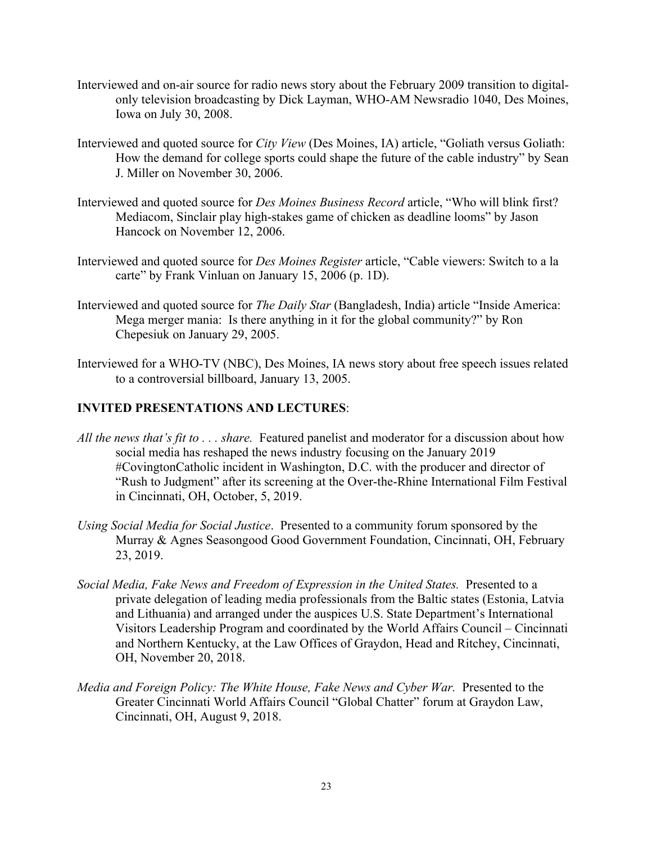- Interviewed and on-air source for radio news story about the February 2009 transition to digitalonly television broadcasting by Dick Layman, WHO-AM Newsradio 1040, Des Moines, Iowa on July 30, 2008.
- Interviewed and quoted source for *City View* (Des Moines, IA) article, "Goliath versus Goliath: How the demand for college sports could shape the future of the cable industry" by Sean J. Miller on November 30, 2006.
- Interviewed and quoted source for *Des Moines Business Record* article, "Who will blink first?<br>Mediacom, Sinclair play high-stakes game of chicken as deadline looms" by Jason Hancock on November 12, 2006.
- Interviewed and quoted source for *Des Moines Register* article, "Cable viewers: Switch to a la carte" by Frank Vinluan on January 15, 2006 (p. 1D).
- Interviewed and quoted source for *The Daily Star* (Bangladesh, India) article "Inside America: Mega merger mania: Is there anything in it for the global community?" by Ron Chepesiuk on January 29, 2005.
- Interviewed for a WHO-TV (NBC), Des Moines, IA news story about free speech issues related to a controversial billboard, January 13, 2005.

# **INVITED PRESENTATIONS AND LECTURES**:

- *All the news that's fit to . . . share.* Featured panelist and moderator for a discussion about how social media has reshaped the news industry focusing on the January 2019 #CovingtonCatholic incident in Washington, D.C. with the producer and director of "Rush to Judgment" after its screening at the Over-the-Rhine International Film Festival in Cincinnati, OH, October, 5, 2019.
- *Using Social Media for Social Justice*. Presented to a community forum sponsored by the Murray & Agnes Seasongood Good Government Foundation, Cincinnati, OH, February 23, 2019.
- Social Media, Fake News and Freedom of Expression in the United States. Presented to a Visitors Leadership Program and coordinated by the World Affairs Council – Cincinnati private delegation of leading media professionals from the Baltic states (Estonia, Latvia and Lithuania) and arranged under the auspices U.S. State Department's International and Northern Kentucky, at the Law Offices of Graydon, Head and Ritchey, Cincinnati, OH, November 20, 2018.
- *Media and Foreign Policy: The White House, Fake News and Cyber War.* Presented to the Greater Cincinnati World Affairs Council "Global Chatter" forum at Graydon Law, Cincinnati, OH, August 9, 2018.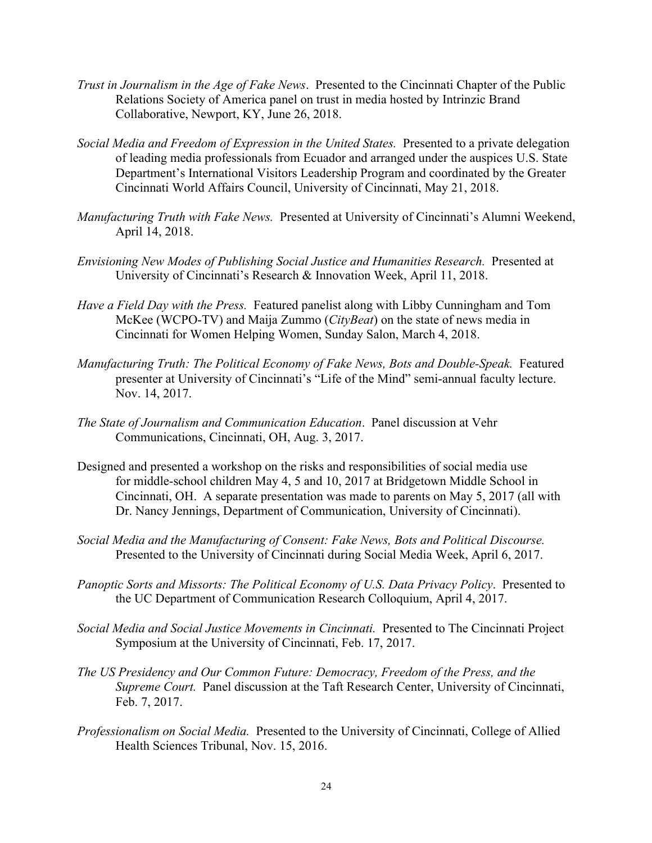- *Trust in Journalism in the Age of Fake News*. Presented to the Cincinnati Chapter of the Public Relations Society of America panel on trust in media hosted by Intrinzic Brand Collaborative, Newport, KY, June 26, 2018.
- *Social Media and Freedom of Expression in the United States.* Presented to a private delegation of leading media professionals from Ecuador and arranged under the auspices U.S. State Department's International Visitors Leadership Program and coordinated by the Greater Cincinnati World Affairs Council, University of Cincinnati, May 21, 2018.
- *Manufacturing Truth with Fake News.* Presented at University of Cincinnati's Alumni Weekend, April 14, 2018.
- *Envisioning New Modes of Publishing Social Justice and Humanities Research.* Presented at University of Cincinnati's Research & Innovation Week, April 11, 2018.
- *Have a Field Day with the Press.* Featured panelist along with Libby Cunningham and Tom McKee (WCPO-TV) and Maija Zummo (*CityBeat*) on the state of news media in Cincinnati for Women Helping Women, Sunday Salon, March 4, 2018.
- *Manufacturing Truth: The Political Economy of Fake News, Bots and Double-Speak. Featured* presenter at University of Cincinnati's "Life of the Mind" semi-annual faculty lecture. Nov. 14, 2017.
- *The State of Journalism and Communication Education*. Panel discussion at Vehr Communications, Cincinnati, OH, Aug. 3, 2017.
- Designed and presented a workshop on the risks and responsibilities of social media use for middle-school children May 4, 5 and 10, 2017 at Bridgetown Middle School in Cincinnati, OH. A separate presentation was made to parents on May 5, 2017 (all with Dr. Nancy Jennings, Department of Communication, University of Cincinnati).
- *Social Media and the Manufacturing of Consent: Fake News, Bots and Political Discourse.*  Presented to the University of Cincinnati during Social Media Week, April 6, 2017.
- *Panoptic Sorts and Missorts: The Political Economy of U.S. Data Privacy Policy*. Presented to the UC Department of Communication Research Colloquium, April 4, 2017.
- *Social Media and Social Justice Movements in Cincinnati.* Presented to The Cincinnati Project Symposium at the University of Cincinnati, Feb. 17, 2017.
- The US Presidency and Our Common Future: Democracy, Freedom of the Press, and the *Supreme Court.* Panel discussion at the Taft Research Center, University of Cincinnati, Feb. 7, 2017.
- *Professionalism on Social Media.* Presented to the University of Cincinnati, College of Allied Health Sciences Tribunal, Nov. 15, 2016.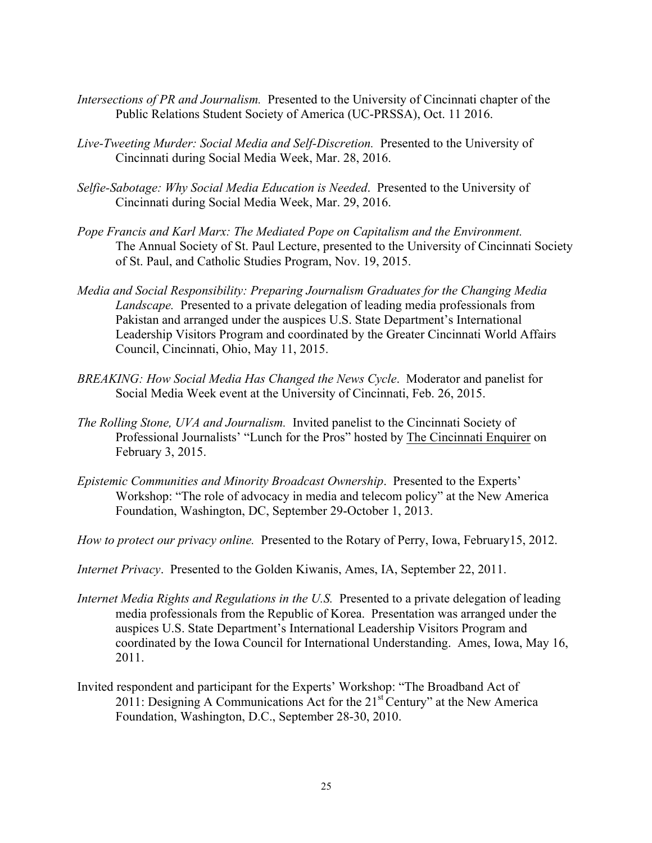- *Intersections of PR and Journalism.* Presented to the University of Cincinnati chapter of the Public Relations Student Society of America (UC-PRSSA), Oct. 11 2016.
- *Live-Tweeting Murder: Social Media and Self-Discretion.* Presented to the University of Cincinnati during Social Media Week, Mar. 28, 2016.
- *Selfie-Sabotage: Why Social Media Education is Needed*. Presented to the University of Cincinnati during Social Media Week, Mar. 29, 2016.
- The Annual Society of St. Paul Lecture, presented to the University of Cincinnati Society *Pope Francis and Karl Marx: The Mediated Pope on Capitalism and the Environment.*  of St. Paul, and Catholic Studies Program, Nov. 19, 2015.
- *Media and Social Responsibility: Preparing Journalism Graduates for the Changing Media Landscape.* Presented to a private delegation of leading media professionals from Pakistan and arranged under the auspices U.S. State Department's International Leadership Visitors Program and coordinated by the Greater Cincinnati World Affairs Council, Cincinnati, Ohio, May 11, 2015.
- *BREAKING: How Social Media Has Changed the News Cycle*. Moderator and panelist for Social Media Week event at the University of Cincinnati, Feb. 26, 2015.
- *The Rolling Stone, UVA and Journalism.* Invited panelist to the Cincinnati Society of Professional Journalists' "Lunch for the Pros" hosted by The Cincinnati Enquirer on February 3, 2015.
- Workshop: "The role of advocacy in media and telecom policy" at the New America Foundation, Washington, DC, September 29-October 1, 2013. *Epistemic Communities and Minority Broadcast Ownership*. Presented to the Experts'
- *How to protect our privacy online.* Presented to the Rotary of Perry, Iowa, February15, 2012.
- *Internet Privacy*. Presented to the Golden Kiwanis, Ames, IA, September 22, 2011.
- *Internet Media Rights and Regulations in the U.S.* Presented to a private delegation of leading media professionals from the Republic of Korea. Presentation was arranged under the auspices U.S. State Department's International Leadership Visitors Program and coordinated by the Iowa Council for International Understanding. Ames, Iowa, May 16, 2011.
- Invited respondent and participant for the Experts' Workshop: "The Broadband Act of Invited respondent and participant for the Experts' Workshop: "The Broadband Act of 2011: Designing A Communications Act for the 21<sup>st</sup> Century" at the New America Foundation, Washington, D.C., September 28-30, 2010.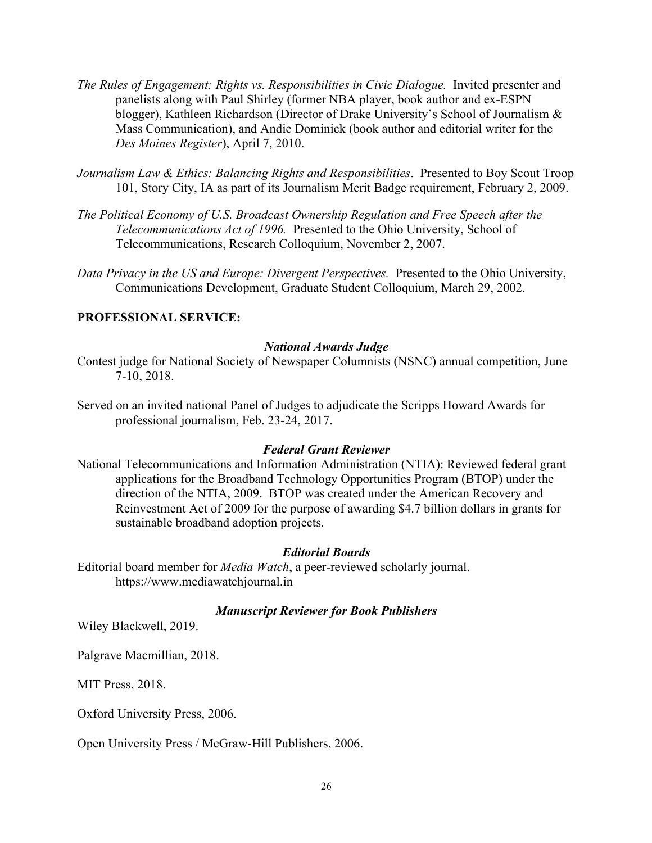- *The Rules of Engagement: Rights vs. Responsibilities in Civic Dialogue.* Invited presenter and panelists along with Paul Shirley (former NBA player, book author and ex-ESPN blogger), Kathleen Richardson (Director of Drake University's School of Journalism & Mass Communication), and Andie Dominick (book author and editorial writer for the *Des Moines Register*), April 7, 2010.
- *Journalism Law & Ethics: Balancing Rights and Responsibilities*. Presented to Boy Scout Troop 101, Story City, IA as part of its Journalism Merit Badge requirement, February 2, 2009.
- *The Political Economy of U.S. Broadcast Ownership Regulation and Free Speech after the Telecommunications Act of 1996. Presented to the Ohio University, School of* Telecommunications Act of 1996. Presented to the Ohio University, School of Telecommunications, Research Colloquium, November 2, 2007.
- *Data Privacy in the US and Europe: Divergent Perspectives.* Presented to the Ohio University, Communications Development, Graduate Student Colloquium, March 29, 2002.

# **PROFESSIONAL SERVICE:**

## *National Awards Judge*

- Contest judge for National Society of Newspaper Columnists (NSNC) annual competition, June 7-10, 2018.
- Served on an invited national Panel of Judges to adjudicate the Scripps Howard Awards for professional journalism, Feb. 23-24, 2017.

### *Federal Grant Reviewer*

 National Telecommunications and Information Administration (NTIA): Reviewed federal grant applications for the Broadband Technology Opportunities Program (BTOP) under the direction of the NTIA, 2009. BTOP was created under the American Recovery and Reinvestment Act of 2009 for the purpose of awarding \$4.7 billion dollars in grants for sustainable broadband adoption projects.

#### *Editorial Boards*

Editorial board member for *Media Watch*, a peer-reviewed scholarly journal.<br><https://www.mediawatchjournal.in>

## *Manuscript Reviewer for Book Publishers*

Wiley Blackwell, 2019.

Palgrave Macmillian, 2018.

MIT Press, 2018.

Oxford University Press, 2006.

Open University Press / McGraw-Hill Publishers, 2006.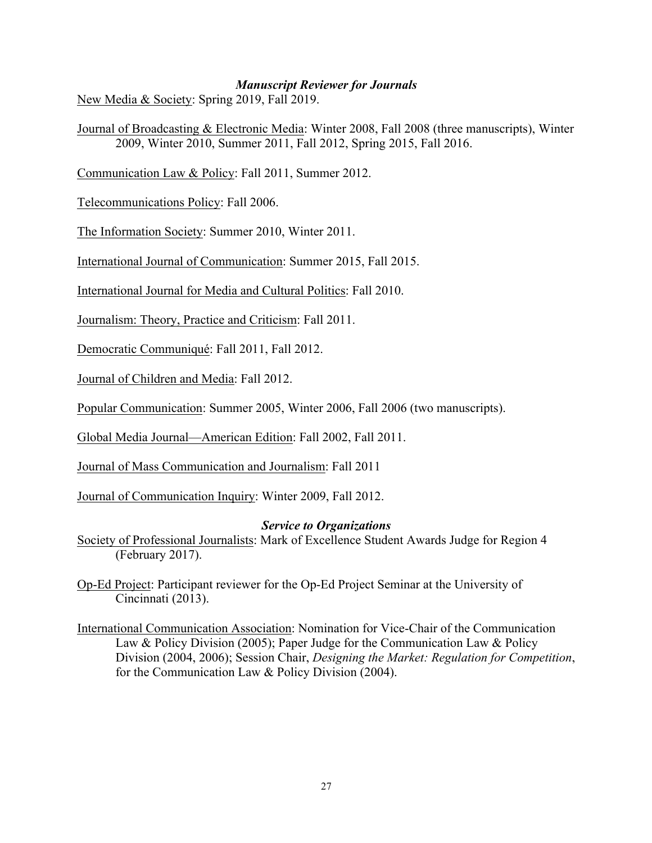## *Manuscript Reviewer for Journals*

New Media & Society: Spring 2019, Fall 2019.

Journal of Broadcasting & Electronic Media: Winter 2008, Fall 2008 (three manuscripts), Winter 2009, Winter 2010, Summer 2011, Fall 2012, Spring 2015, Fall 2016.

Communication Law & Policy: Fall 2011, Summer 2012.

Telecommunications Policy: Fall 2006.

The Information Society: Summer 2010, Winter 2011.

International Journal of Communication: Summer 2015, Fall 2015.

International Journal for Media and Cultural Politics: Fall 2010.

Journalism: Theory, Practice and Criticism: Fall 2011.

Democratic Communiqué: Fall 2011, Fall 2012.

Journal of Children and Media: Fall 2012.

Popular Communication: Summer 2005, Winter 2006, Fall 2006 (two manuscripts).

Global Media Journal—American Edition: Fall 2002, Fall 2011.

Journal of Mass Communication and Journalism: Fall 2011

Journal of Communication Inquiry: Winter 2009, Fall 2012.

## *Service to Organizations*

Society of Professional Journalists: Mark of Excellence Student Awards Judge for Region 4 (February 2017).

Op-Ed Project: Participant reviewer for the Op-Ed Project Seminar at the University of Cincinnati (2013).

International Communication Association: Nomination for Vice-Chair of the Communication Law & Policy Division (2005); Paper Judge for the Communication Law & Policy Division (2004, 2006); Session Chair, *Designing the Market: Regulation for Competition*, for the Communication Law & Policy Division (2004).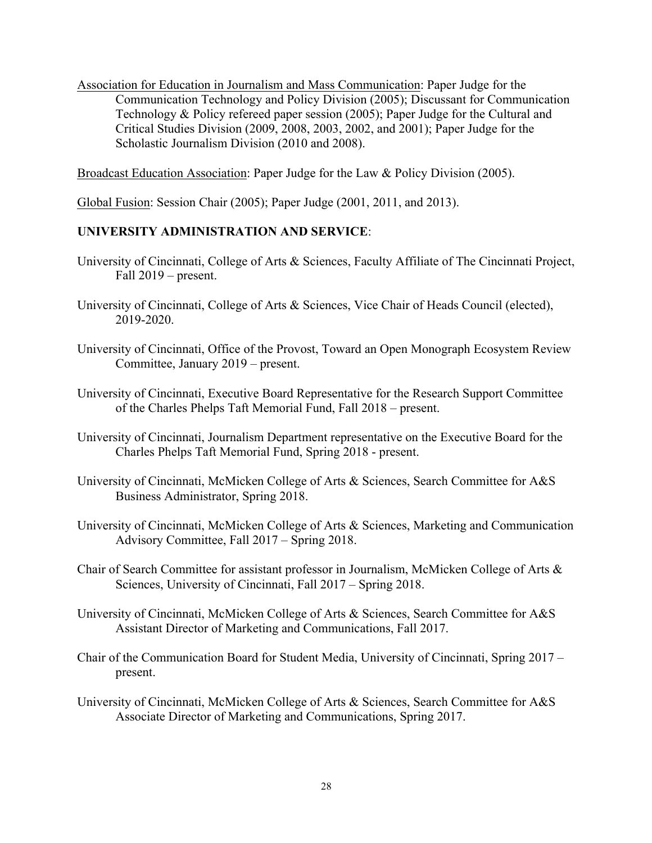Association for Education in Journalism and Mass Communication: Paper Judge for the Critical Studies Division (2009, 2008, 2003, 2002, and 2001); Paper Judge for the Scholastic Journalism Division (2010 and 2008). Communication Technology and Policy Division (2005); Discussant for Communication Technology & Policy refereed paper session (2005); Paper Judge for the Cultural and

Broadcast Education Association: Paper Judge for the Law & Policy Division (2005).

Global Fusion: Session Chair (2005); Paper Judge (2001, 2011, and 2013).

# **UNIVERSITY ADMINISTRATION AND SERVICE**:

- Fall 2019 present. University of Cincinnati, College of Arts & Sciences, Faculty Affiliate of The Cincinnati Project,
- University of Cincinnati, College of Arts & Sciences, Vice Chair of Heads Council (elected), 2019-2020.
- University of Cincinnati, Office of the Provost, Toward an Open Monograph Ecosystem Review Committee, January 2019 present. Committee, January 2019 – present.
- University of Cincinnati, Executive Board Representative for the Research Support Committee of the Charles Phelps Taft Memorial Fund, Fall 2018 present. of the Charles Phelps Taft Memorial Fund, Fall 2018 – present.
- University of Cincinnati, Journalism Department representative on the Executive Board for the Charles Phelps Taft Memorial Fund, Spring 2018 present. Charles Phelps Taft Memorial Fund, Spring 2018 - present.
- University of Cincinnati, McMicken College of Arts & Sciences, Search Committee for A&S Business Administrator, Spring 2018.
- University of Cincinnati, McMicken College of Arts & Sciences, Marketing and Communication Advisory Committee, Fall 2017 – Spring 2018.
- Chair of Search Committee for assistant professor in Journalism, McMicken College of Arts & Sciences, University of Cincinnati, Fall 2017 Spring 2018.
- University of Cincinnati, McMicken College of Arts & Sciences, Search Committee for A&S Assistant Director of Marketing and Communications, Fall 2017.
- Chair of the Communication Board for Student Media, University of Cincinnati, Spring 2017 present.
- University of Cincinnati, McMicken College of Arts & Sciences, Search Committee for A&S Associate Director of Marketing and Communications, Spring 2017.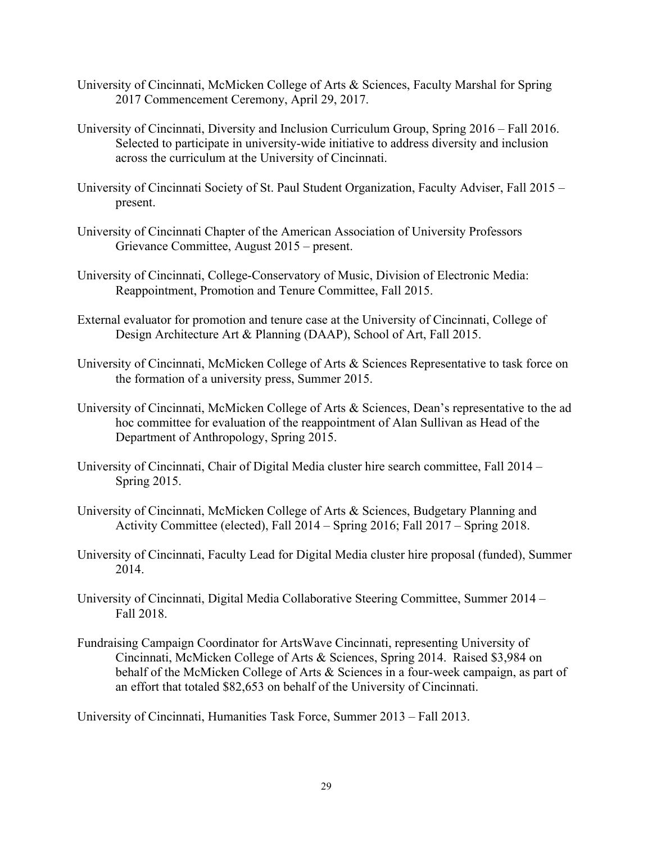- University of Cincinnati, McMicken College of Arts & Sciences, Faculty Marshal for Spring 2017 Commencement Ceremony, April 29, 2017.
- University of Cincinnati, Diversity and Inclusion Curriculum Group, Spring 2016 Fall 2016. Selected to participate in university-wide initiative to address diversity and inclusion across the curriculum at the University of Cincinnati.
- University of Cincinnati Society of St. Paul Student Organization, Faculty Adviser, Fall 2015 present.
- University of Cincinnati Chapter of the American Association of University Professors Grievance Committee, August 2015 present. Grievance Committee, August 2015 – present.
- University of Cincinnati, College-Conservatory of Music, Division of Electronic Media: Reappointment, Promotion and Tenure Committee, Fall 2015.
- External evaluator for promotion and tenure case at the University of Cincinnati, College of Design Architecture Art & Planning (DAAP), School of Art, Fall 2015.
- University of Cincinnati, McMicken College of Arts & Sciences Representative to task force on the formation of a university press, Summer 2015.
- hoc committee for evaluation of the reappointment of Alan Sullivan as Head of the Department of Anthropology, Spring 2015. University of Cincinnati, McMicken College of Arts & Sciences, Dean's representative to the ad
- University of Cincinnati, Chair of Digital Media cluster hire search committee, Fall 2014 Spring 2015.
- Activity Committee (elected), Fall 2014 Spring 2016; Fall 2017 Spring 2018. University of Cincinnati, McMicken College of Arts & Sciences, Budgetary Planning and
- University of Cincinnati, Faculty Lead for Digital Media cluster hire proposal (funded), Summer 2014.
- University of Cincinnati, Digital Media Collaborative Steering Committee, Summer 2014 Fall 2018.
- Fundraising Campaign Coordinator for ArtsWave Cincinnati, representing University of Fundraising Campaign Coordinator for ArtsWave Cincinnati, representing University of Cincinnati, McMicken College of Arts & Sciences, Spring 2014. Raised \$3,984 on behalf of the McMicken College of Arts & Sciences in a four-week campaign, as part of an effort that totaled \$82,653 on behalf of the University of Cincinnati.

University of Cincinnati, Humanities Task Force, Summer 2013 – Fall 2013.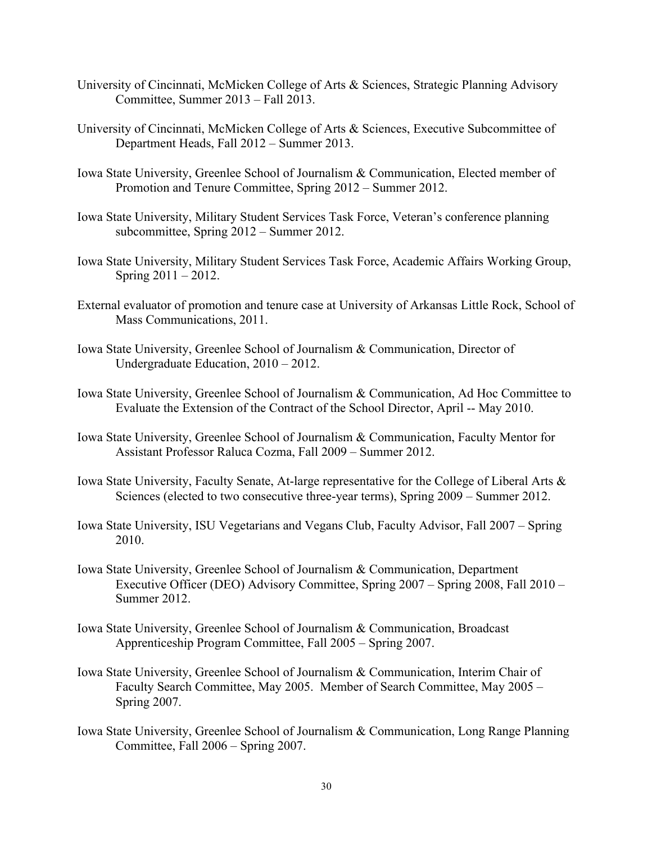- Committee, Summer 2013 Fall 2013. University of Cincinnati, McMicken College of Arts & Sciences, Strategic Planning Advisory
- University of Cincinnati, McMicken College of Arts & Sciences, Executive Subcommittee of Department Heads, Fall 2012 Summer 2013.
- Iowa State University, Greenlee School of Journalism & Communication, Elected member of Promotion and Tenure Committee, Spring 2012 Summer 2012.
- subcommittee, Spring 2012 Summer 2012. Iowa State University, Military Student Services Task Force, Veteran's conference planning
- Spring 2011 2012. Iowa State University, Military Student Services Task Force, Academic Affairs Working Group,
- External evaluator of promotion and tenure case at University of Arkansas Little Rock, School of Mass Communications, 2011.
- Iowa State University, Greenlee School of Journalism & Communication, Director of Undergraduate Education, 2010 2012. Undergraduate Education,  $2010 - 2012$ .
- Evaluate the Extension of the Contract of the School Director, April -- May 2010. Iowa State University, Greenlee School of Journalism & Communication, Ad Hoc Committee to
- Iowa State University, Greenlee School of Journalism & Communication, Faculty Mentor for Assistant Professor Raluca Cozma, Fall 2009 – Summer 2012.
- Iowa State University, Faculty Senate, At-large representative for the College of Liberal Arts & Sciences (elected to two consecutive three-year terms), Spring 2009 Summer 2012.
- Iowa State University, ISU Vegetarians and Vegans Club, Faculty Advisor, Fall 2007 Spring 2010.
- Iowa State University, Greenlee School of Journalism & Communication, Department Executive Officer (DEO) Advisory Committee, Spring 2007 – Spring 2008, Fall 2010 – Summer 2012.
- Iowa State University, Greenlee School of Journalism & Communication, Broadcast Apprenticeship Program Committee, Fall 2005 Spring 2007.
- Iowa State University, Greenlee School of Journalism & Communication, Interim Chair of Faculty Search Committee, May 2005. Member of Search Committee, May 2005 Spring 2007. Faculty Search Committee, May 2005. Member of Search Committee, May 2005 -
- Iowa State University, Greenlee School of Journalism & Communication, Long Range Planning Committee, Fall 2006 – Spring 2007.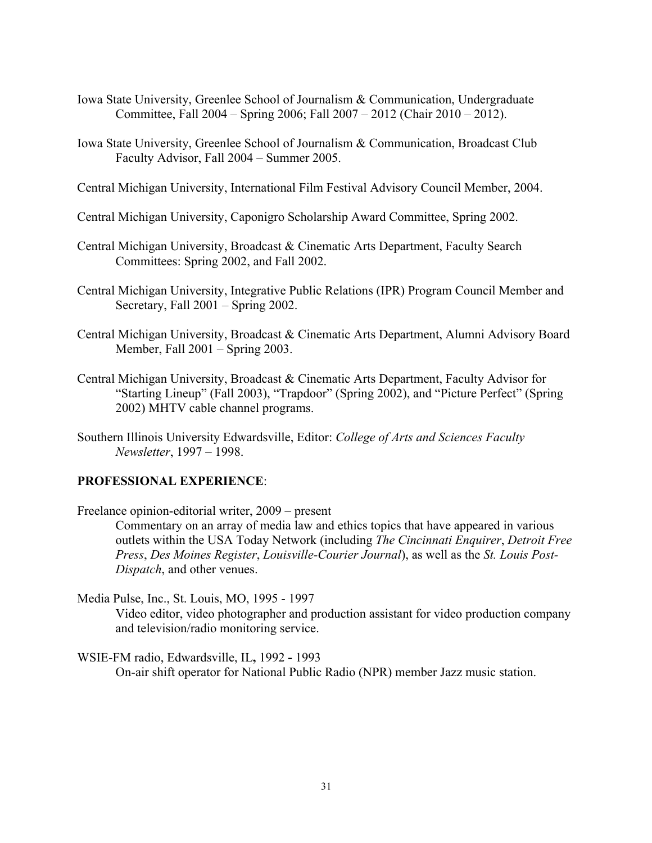- Iowa State University, Greenlee School of Journalism & Communication, Undergraduate Committee, Fall 2004 Spring 2006; Fall 2007 2012 (Chair 2010 2012). Committee, Fall 2004 – Spring 2006; Fall 2007 – 2012 (Chair 2010 – 2012).
- Iowa State University, Greenlee School of Journalism & Communication, Broadcast Club Faculty Advisor, Fall 2004 – Summer 2005.
- Central Michigan University, International Film Festival Advisory Council Member, 2004.
- Central Michigan University, Caponigro Scholarship Award Committee, Spring 2002.
- Central Michigan University, Broadcast & Cinematic Arts Department, Faculty Search Committees: Spring 2002, and Fall 2002.
- Central Michigan University, Integrative Public Relations (IPR) Program Council Member and Secretary, Fall 2001 – Spring 2002.
- Central Michigan University, Broadcast & Cinematic Arts Department, Alumni Advisory Board Member, Fall 2001 – Spring 2003.
- Central Michigan University, Broadcast & Cinematic Arts Department, Faculty Advisor for "Starting Lineup" (Fall 2003), "Trapdoor" (Spring 2002), and "Picture Perfect" (Spring 2002) MHTV cable channel programs.
- Southern Illinois University Edwardsville, Editor: *College of Arts and Sciences Faculty Newsletter*, 1997 1998.

# **PROFESSIONAL EXPERIENCE**:

 Freelance opinion-editorial writer, 2009 – present Commentary on an array of media law and ethics topics that have appeared in various outlets within the USA Today Network (including *The Cincinnati Enquirer*, *Detroit Free Press*, *Des Moines Register*, *Louisville-Courier Journal*), as well as the *St. Louis Post-Dispatch*, and other venues.

 Media Pulse, Inc., St. Louis, MO, 1995 - 1997 Video editor, video photographer and production assistant for video production company and television/radio monitoring service.

 WSIE-FM radio, Edwardsville, IL**,** 1992 **-** 1993 On-air shift operator for National Public Radio (NPR) member Jazz music station.